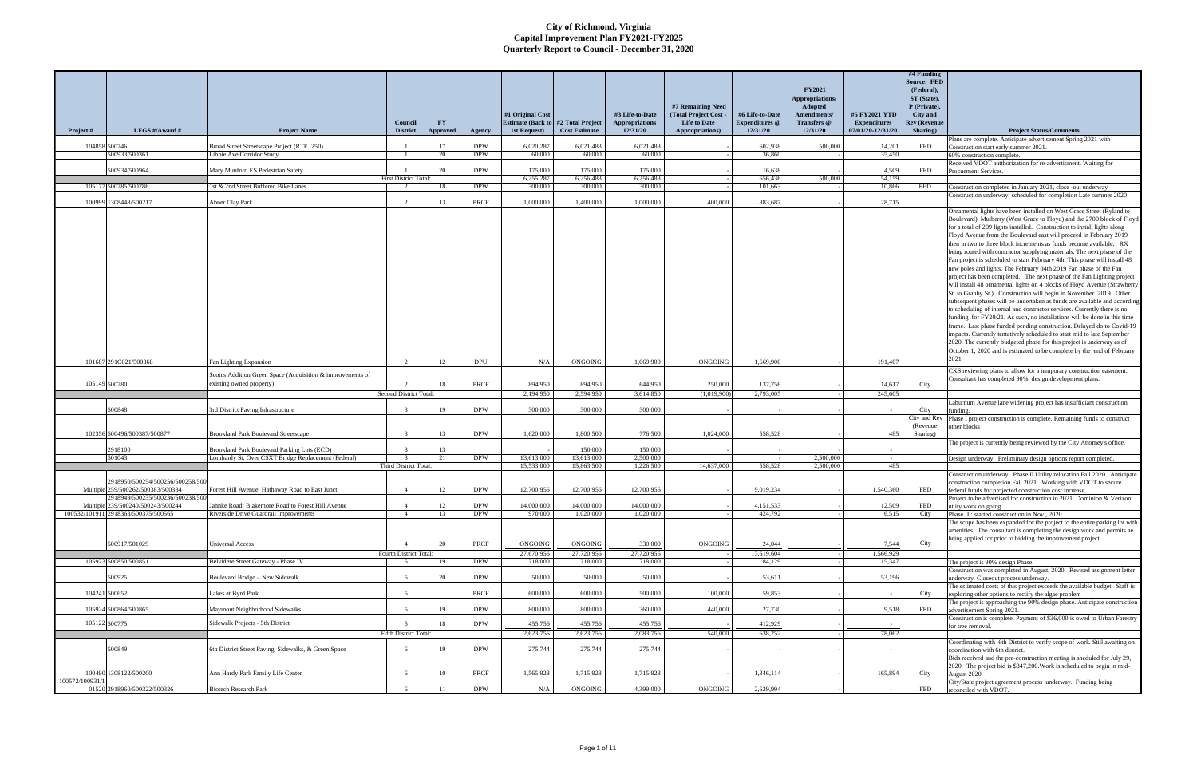|                |                                                                                                           |                                                                                                    | Council                          | <b>FY</b>       |                           | #1 Original Cost<br><b>Estimate (Back to)</b> | #2 Total Project      | #3 Life-to-Date<br><b>Appropriations</b> | #7 Remaining Need<br>(Total Project Cost -<br><b>Life to Date</b> | #6 Life-to-Date<br><b>Expenditures</b> @ | <b>FY2021</b><br>Appropriations/<br>Adopted<br>Amendments/<br>Transfers @ | #5 FY2021 YTD<br><b>Expenditures</b> | #4 Funding<br><b>Source: FED</b><br>(Federal),<br>ST (State),<br>P (Private),<br>City and<br>Rev (Revenue |                                                                                                                                                                                                                                                                                                                                                                                                                                                                                                                                                                                                                                                                                                                                                                                                                                                                                                                                                                                                                                                                                                                                                                                                                                                                                                                                                                                   |
|----------------|-----------------------------------------------------------------------------------------------------------|----------------------------------------------------------------------------------------------------|----------------------------------|-----------------|---------------------------|-----------------------------------------------|-----------------------|------------------------------------------|-------------------------------------------------------------------|------------------------------------------|---------------------------------------------------------------------------|--------------------------------------|-----------------------------------------------------------------------------------------------------------|-----------------------------------------------------------------------------------------------------------------------------------------------------------------------------------------------------------------------------------------------------------------------------------------------------------------------------------------------------------------------------------------------------------------------------------------------------------------------------------------------------------------------------------------------------------------------------------------------------------------------------------------------------------------------------------------------------------------------------------------------------------------------------------------------------------------------------------------------------------------------------------------------------------------------------------------------------------------------------------------------------------------------------------------------------------------------------------------------------------------------------------------------------------------------------------------------------------------------------------------------------------------------------------------------------------------------------------------------------------------------------------|
| Project #      | LFGS #/Award #                                                                                            | <b>Project Name</b>                                                                                | <b>District</b>                  | <b>Approved</b> | Agency                    | <b>1st Request</b> )                          | <b>Cost Estimate</b>  | 12/31/20                                 | Appropriations)                                                   | 12/31/20                                 | 12/31/20                                                                  | 07/01/20-12/31/20                    | Sharing)                                                                                                  | <b>Project Status/Comments</b><br>Plans are complete. Anticipate advertisement Spring 2021 with                                                                                                                                                                                                                                                                                                                                                                                                                                                                                                                                                                                                                                                                                                                                                                                                                                                                                                                                                                                                                                                                                                                                                                                                                                                                                   |
|                | 104858 500746<br>500933/500361                                                                            | Broad Street Streetscape Project (RTE. 250)<br>Libbie Ave Corridor Study                           | $\overline{1}$                   | 17              | <b>DPW</b><br><b>DPW</b>  | 6,020,287<br>60,000                           | 6,021,483<br>60,000   | 6,021,483<br>60,000                      |                                                                   | 602,938<br>36,860                        | 500,000                                                                   | 14,201                               | <b>FED</b>                                                                                                | Construction start early summer 2021.                                                                                                                                                                                                                                                                                                                                                                                                                                                                                                                                                                                                                                                                                                                                                                                                                                                                                                                                                                                                                                                                                                                                                                                                                                                                                                                                             |
|                |                                                                                                           |                                                                                                    |                                  | 20              |                           |                                               |                       |                                          |                                                                   |                                          |                                                                           | 35,450                               |                                                                                                           | 60% construction complete.<br>Received VDOT autthorization for re-advertisment. Waiting for                                                                                                                                                                                                                                                                                                                                                                                                                                                                                                                                                                                                                                                                                                                                                                                                                                                                                                                                                                                                                                                                                                                                                                                                                                                                                       |
|                | 500934/500964                                                                                             | Mary Munford ES Pedestrian Safety                                                                  |                                  | 20              | <b>DPW</b>                | 175,000                                       | 175,000               | 175,000                                  |                                                                   | 16,638                                   |                                                                           | 4.509                                | FED                                                                                                       | Procuement Services.                                                                                                                                                                                                                                                                                                                                                                                                                                                                                                                                                                                                                                                                                                                                                                                                                                                                                                                                                                                                                                                                                                                                                                                                                                                                                                                                                              |
|                | 105177 500785/500786                                                                                      | 1st & 2nd Street Buffered Bike Lanes                                                               | <b>First District Total:</b>     | 18              | <b>DPW</b>                | 6.255.287<br>300,000                          | 6,256,483<br>300,000  | 6.256.483<br>300,000                     |                                                                   | 656,436<br>101,663                       | 500,000                                                                   | 54,159<br>10,866                     | FED                                                                                                       | Construction completed in January 2021, close -out underway                                                                                                                                                                                                                                                                                                                                                                                                                                                                                                                                                                                                                                                                                                                                                                                                                                                                                                                                                                                                                                                                                                                                                                                                                                                                                                                       |
|                |                                                                                                           |                                                                                                    |                                  |                 |                           |                                               |                       |                                          |                                                                   |                                          |                                                                           |                                      |                                                                                                           | Construction underway; scheduled for completion Late summer 2020                                                                                                                                                                                                                                                                                                                                                                                                                                                                                                                                                                                                                                                                                                                                                                                                                                                                                                                                                                                                                                                                                                                                                                                                                                                                                                                  |
|                | 100999 1308448/500217                                                                                     | Abner Clay Park                                                                                    |                                  | 13              | PRCF                      | 1,000,000                                     | 1,400,000             | 1,000,000                                | 400,000                                                           | 883,687                                  |                                                                           | 28,715                               |                                                                                                           | Ornamental lights have been installed on West Grace Street (Ryland to<br>Boulevard), Mulberry (West Grace to Floyd) and the 2700 block of Floyd<br>for a total of 209 lights installed. Construction to install lights along<br>Floyd Avenue from the Boulevard east will proceed in February 2019<br>then in two to three block increments as funds become available. RX<br>being routed with contractor supplying materials. The next phase of the<br>Fan project is scheduled to start February 4th. This phase will install 48<br>new poles and lights. The February 04th 2019 Fan phase of the Fan<br>project has been completed. The next phase of the Fan Lighting project<br>will install 48 ornamental lights on 4 blocks of Floyd Avenue (Strawberry<br>St. to Granby St.). Construction will begin in November 2019. Other<br>subsequent phases will be undertaken as funds are available and according<br>to scheduling of internal and contractor services. Currently there is no<br>funding for FY20/21. As such, no installations will be done in this time<br>frame. Last phase funded pending construction. Delayed do to Covid-19<br>impacts. Currently tentatively scheduled to start mid to late September<br>2020. The currently budgeted phase for this project is underway as of<br>October 1, 2020 and is estimated to be complete by the end of February |
|                | 101687 291C021/500368                                                                                     | an Lighting Expansion                                                                              | $\mathcal{L}$                    | 12              | <b>DPU</b>                | N/A                                           | ONGOING               | 1,669,900                                | ONGOING                                                           | 1,669,900                                |                                                                           | 191,407                              |                                                                                                           | 2021                                                                                                                                                                                                                                                                                                                                                                                                                                                                                                                                                                                                                                                                                                                                                                                                                                                                                                                                                                                                                                                                                                                                                                                                                                                                                                                                                                              |
|                |                                                                                                           | Scott's Addition Green Space (Acquisition & improvements of                                        |                                  |                 |                           |                                               |                       |                                          |                                                                   |                                          |                                                                           |                                      |                                                                                                           | CXS reviewing plans to allow for a temporary construction easement.                                                                                                                                                                                                                                                                                                                                                                                                                                                                                                                                                                                                                                                                                                                                                                                                                                                                                                                                                                                                                                                                                                                                                                                                                                                                                                               |
| 105149 500780  |                                                                                                           | existing owned property)                                                                           |                                  | 18              | <b>PRCF</b>               | 894,950                                       | 894,950               | 644,950                                  | 250,000                                                           | 137,756                                  |                                                                           | 14,617                               | City                                                                                                      | Consultant has completed 90% design development plans.                                                                                                                                                                                                                                                                                                                                                                                                                                                                                                                                                                                                                                                                                                                                                                                                                                                                                                                                                                                                                                                                                                                                                                                                                                                                                                                            |
|                |                                                                                                           |                                                                                                    | Second District Total:           |                 |                           | 2.194.950                                     | 2.594.950             | 3.614.850                                | (1,019,900)                                                       | 2,793,005                                |                                                                           | 245,605                              |                                                                                                           |                                                                                                                                                                                                                                                                                                                                                                                                                                                                                                                                                                                                                                                                                                                                                                                                                                                                                                                                                                                                                                                                                                                                                                                                                                                                                                                                                                                   |
|                | 500848                                                                                                    | <b>Infrastructure Infrastructure</b>                                                               | $\mathbf{r}$                     | 19              | <b>DPW</b>                | 300,000                                       | 300,000               | 300,000                                  |                                                                   |                                          |                                                                           |                                      | City                                                                                                      | Laburnum Avenue lane widening project has insufficiant construction                                                                                                                                                                                                                                                                                                                                                                                                                                                                                                                                                                                                                                                                                                                                                                                                                                                                                                                                                                                                                                                                                                                                                                                                                                                                                                               |
|                | 102356 500496/500387/500877                                                                               | <b>Brookland Park Boulevard Streetscape</b>                                                        | $\mathcal{R}$                    | 13              | <b>DPW</b>                | 1.620.000                                     | 1,800,500             | 776.500                                  | 1.024.000                                                         | 558,528                                  |                                                                           | 485                                  | City and Rev<br>(Revenue)<br>Sharing)                                                                     | unding<br>Phase I project construction is complete. Remaining funds to construct<br>other blocks                                                                                                                                                                                                                                                                                                                                                                                                                                                                                                                                                                                                                                                                                                                                                                                                                                                                                                                                                                                                                                                                                                                                                                                                                                                                                  |
|                |                                                                                                           |                                                                                                    |                                  |                 |                           |                                               |                       |                                          |                                                                   |                                          |                                                                           |                                      |                                                                                                           | The project is currently being reviewed by the City Attorney's office.                                                                                                                                                                                                                                                                                                                                                                                                                                                                                                                                                                                                                                                                                                                                                                                                                                                                                                                                                                                                                                                                                                                                                                                                                                                                                                            |
|                | 2918100<br>501043                                                                                         | Brookland Park Boulevard Parking Lots (ECD)<br>Lombardy St. Over CSXT Bridge Replacement (Federal) |                                  | 13<br>21        | <b>DPW</b>                | 13,613,000                                    | 150,000<br>13,613,000 | 150,000<br>2,500,000                     |                                                                   |                                          | 2,500,000                                                                 | $\sim$                               |                                                                                                           | Design underway. Preliminary design options report completed.                                                                                                                                                                                                                                                                                                                                                                                                                                                                                                                                                                                                                                                                                                                                                                                                                                                                                                                                                                                                                                                                                                                                                                                                                                                                                                                     |
|                |                                                                                                           |                                                                                                    | Third District Total:            |                 |                           | 15,533,000                                    | 15,863,500            | 1,226,500                                | 14,637,000                                                        | 558,528                                  | 2,500,000                                                                 | 485                                  |                                                                                                           |                                                                                                                                                                                                                                                                                                                                                                                                                                                                                                                                                                                                                                                                                                                                                                                                                                                                                                                                                                                                                                                                                                                                                                                                                                                                                                                                                                                   |
|                | 2918950/500254/500256/500258/500<br>Multiple 259/500262/500383/500384<br>2918949/500235/500236/500238/500 | Forest Hill Avenue: Hathaway Road to East Junct.                                                   |                                  | 12              | <b>DPW</b>                | 12.700.956                                    | 12,700,956            | 12,700,956                               |                                                                   | 9,019,234                                |                                                                           | 1,540,360                            | FED                                                                                                       | Construction underway. Phase II Utility relocation Fall 2020. Anticipate<br>construction completion Fall 2021. Working with VDOT to secure<br>federal funds for projected construction cost increase.<br>Project to be advertised for construction in 2021. Dominion & Verizon                                                                                                                                                                                                                                                                                                                                                                                                                                                                                                                                                                                                                                                                                                                                                                                                                                                                                                                                                                                                                                                                                                    |
|                | Multiple 239/500240/500243/500244                                                                         | Lahnke Road: Blakemore Road to Forest Hill Avenue                                                  | $\mathbf{\Delta}$                | 12              | <b>DPW</b>                | 14 000 000                                    | 14 000 000            | 14 000 000                               |                                                                   | 4 1 5 1 5 3 3                            |                                                                           | 12.509                               | <b>FED</b>                                                                                                | utlity work on going                                                                                                                                                                                                                                                                                                                                                                                                                                                                                                                                                                                                                                                                                                                                                                                                                                                                                                                                                                                                                                                                                                                                                                                                                                                                                                                                                              |
|                | 100532/101911 2918368/500375/500565<br>500917/501029                                                      | Riverside Drive Guardrail Improvements<br>Universal Access                                         | $\overline{4}$                   | 13<br>20        | <b>DPW</b><br>PRCF        | 970,000<br><b>ONGOING</b>                     | 1,020,000<br>ONGOING  | 1,020,000<br>330,000                     | <b>ONGOING</b>                                                    | 424,792<br>24,044                        |                                                                           | 6,515<br>7,544                       | City<br>City                                                                                              | Phase III: started construction in Nov., 2020.<br>The scope has been expanded for the project to the entire parking lot with<br>amenities. The consultant is completing the design work and permits ae<br>being applied for prior to bidding the improvement project.                                                                                                                                                                                                                                                                                                                                                                                                                                                                                                                                                                                                                                                                                                                                                                                                                                                                                                                                                                                                                                                                                                             |
|                | 105923 500850/500851                                                                                      | Belvidere Street Gateway - Phase IV                                                                | Fourth District Total:<br>$\sim$ | 19              | <b>DPW</b>                | 27,670,956<br>718,000                         | 27,720,956<br>718,000 | 27,720,956<br>718,000                    |                                                                   | 13,619,604<br>84,129                     |                                                                           | 1,566,929<br>15,347                  |                                                                                                           | The project is 90% design Phase.                                                                                                                                                                                                                                                                                                                                                                                                                                                                                                                                                                                                                                                                                                                                                                                                                                                                                                                                                                                                                                                                                                                                                                                                                                                                                                                                                  |
|                | 500925                                                                                                    | Boulevard Bridge - New Sidewalk                                                                    | $\tilde{\phantom{a}}$            | 20              | <b>DPW</b>                | 50,000                                        | 50,000                | 50,000                                   |                                                                   | 53,611                                   |                                                                           | 53.196                               |                                                                                                           | Construction was completed in August, 2020. Revised assignment letter<br>underway. Closeout process underway.                                                                                                                                                                                                                                                                                                                                                                                                                                                                                                                                                                                                                                                                                                                                                                                                                                                                                                                                                                                                                                                                                                                                                                                                                                                                     |
|                | 104241 500652                                                                                             | Lakes at Byrd Park                                                                                 | $\sqrt{5}$                       |                 | PRCF                      | 600,000                                       | 600,000               | 500,000                                  | 100,000                                                           | 59,853                                   |                                                                           |                                      | City                                                                                                      | The estimated costs of this project exceeds the available budget. Staff is<br>exploring other options to rectify the algae problem                                                                                                                                                                                                                                                                                                                                                                                                                                                                                                                                                                                                                                                                                                                                                                                                                                                                                                                                                                                                                                                                                                                                                                                                                                                |
|                | 105924 500864/500865                                                                                      | Maymont Neighborhood Sidewalks                                                                     | $\tilde{\phantom{a}}$            | 19              | <b>DPW</b>                | 800,000                                       | 800,000               | 360,000                                  | 440,000                                                           | 27,730                                   |                                                                           | 9,518                                | FED                                                                                                       | The project is approaching the 90% design phase. Anticipate construction<br>advertisement Spring 2021.                                                                                                                                                                                                                                                                                                                                                                                                                                                                                                                                                                                                                                                                                                                                                                                                                                                                                                                                                                                                                                                                                                                                                                                                                                                                            |
| 105122 500775  |                                                                                                           | Sidewalk Projects - 5th District                                                                   |                                  | 18              | <b>DPW</b>                | 455,756                                       | 455,756               | 455,756                                  |                                                                   | 412,929                                  |                                                                           |                                      |                                                                                                           | Construction is complete. Payment of \$36,000 is owed to Urban Forestry<br>for tree removal                                                                                                                                                                                                                                                                                                                                                                                                                                                                                                                                                                                                                                                                                                                                                                                                                                                                                                                                                                                                                                                                                                                                                                                                                                                                                       |
|                |                                                                                                           |                                                                                                    | Fifth District Total:            |                 |                           | 2,623,756                                     | 2,623,756             | 2,083,756                                | 540,000                                                           | 638,252                                  |                                                                           | 78,062                               |                                                                                                           |                                                                                                                                                                                                                                                                                                                                                                                                                                                                                                                                                                                                                                                                                                                                                                                                                                                                                                                                                                                                                                                                                                                                                                                                                                                                                                                                                                                   |
|                | 500849                                                                                                    |                                                                                                    |                                  | 19              |                           |                                               |                       | 275,744                                  |                                                                   |                                          |                                                                           |                                      |                                                                                                           | Coordinating with 6th District to verify scope of work. Still awaiting on                                                                                                                                                                                                                                                                                                                                                                                                                                                                                                                                                                                                                                                                                                                                                                                                                                                                                                                                                                                                                                                                                                                                                                                                                                                                                                         |
|                | 100490 1308122/500200                                                                                     | 5th District Street Paving, Sidewalks, & Green Space<br>Ann Hardy Park Family Life Center          | 6                                | 10              | <b>DPW</b><br><b>PRCF</b> | 275,744<br>1,565,928                          | 275,744<br>1,715,928  | 1,715,928                                |                                                                   | 1,346,114                                |                                                                           | 165,894                              | City                                                                                                      | coordination with 6th district.<br>Bids received and the pre-construction meeting is sheduled for July 29,<br>2020. The project bid is \$347,200. Work is scheduled to begin in mid-<br>August 2020.                                                                                                                                                                                                                                                                                                                                                                                                                                                                                                                                                                                                                                                                                                                                                                                                                                                                                                                                                                                                                                                                                                                                                                              |
| 100572/100931/ |                                                                                                           |                                                                                                    |                                  |                 |                           |                                               |                       |                                          |                                                                   |                                          |                                                                           |                                      |                                                                                                           | City/State project agreement process underway. Funding being                                                                                                                                                                                                                                                                                                                                                                                                                                                                                                                                                                                                                                                                                                                                                                                                                                                                                                                                                                                                                                                                                                                                                                                                                                                                                                                      |
|                | 01520 2918960/500322/500326                                                                               | <b>Biotech Research Park</b>                                                                       | -6                               | -11             | <b>DPW</b>                | N/A                                           | ONGOING               | 4,399,000                                | ONGOING                                                           | 2,629,994                                |                                                                           |                                      | FED                                                                                                       | reconciled with VDOT.                                                                                                                                                                                                                                                                                                                                                                                                                                                                                                                                                                                                                                                                                                                                                                                                                                                                                                                                                                                                                                                                                                                                                                                                                                                                                                                                                             |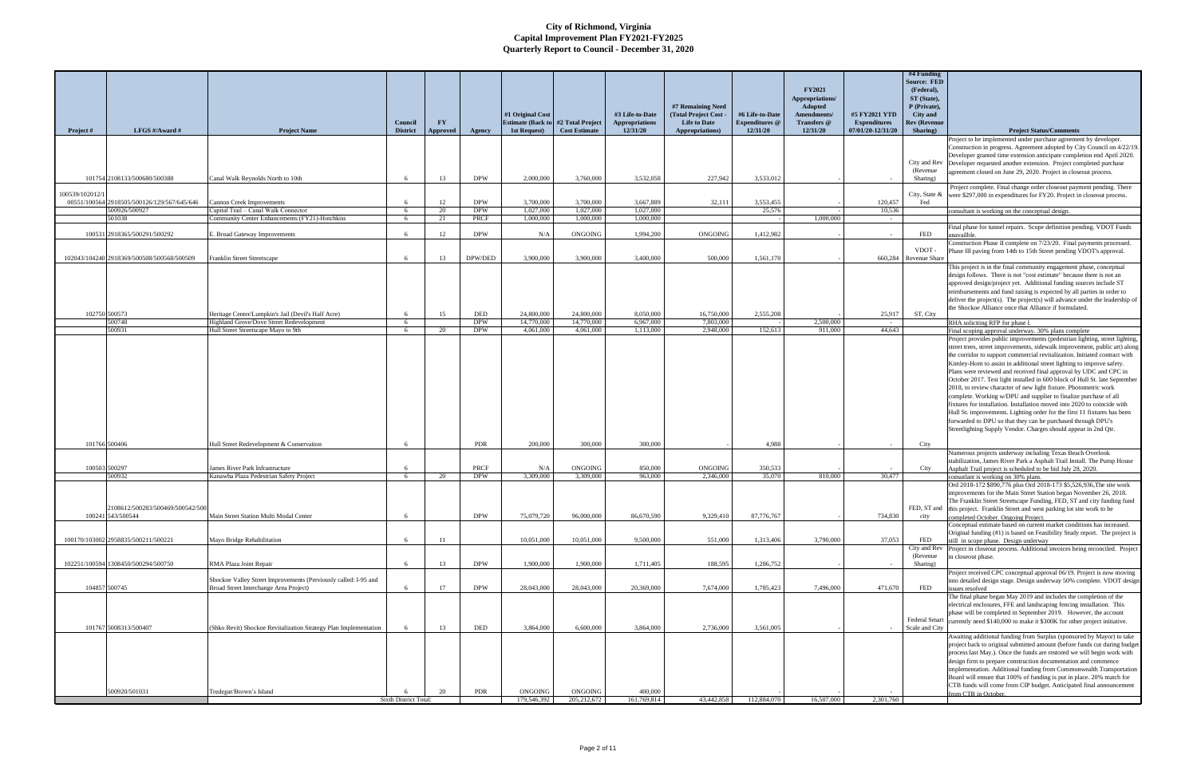| Project #       | LFGS #/Award #                                       | <b>Project Name</b>                                                                                       | Council<br><b>District</b> | <b>FY</b><br>Approved | Agency                   | #1 Original Cost<br><b>Estimate (Back to</b><br>1st Request) | #2 Total Project<br><b>Cost Estimate</b> | #3 Life-to-Date<br><b>Appropriations</b><br>12/31/20 | #7 Remaining Need<br>(Total Project Cost -<br><b>Life to Date</b><br>Appropriations) | #6 Life-to-Date<br><b>Expenditures</b> @<br>12/31/20 | <b>FY2021</b><br>Appropriations/<br>Adopted<br>Amendments/<br>Transfers @<br>12/31/20 | #5 FY2021 YTD<br><b>Expenditures</b><br>07/01/20-12/31/20 | #4 Funding<br><b>Source: FED</b><br>(Federal),<br>ST (State),<br>P (Private),<br><b>City</b> and<br>Rev (Revenue<br>Sharing) | <b>Project Status/Comments</b>                                                                                                                           |
|-----------------|------------------------------------------------------|-----------------------------------------------------------------------------------------------------------|----------------------------|-----------------------|--------------------------|--------------------------------------------------------------|------------------------------------------|------------------------------------------------------|--------------------------------------------------------------------------------------|------------------------------------------------------|---------------------------------------------------------------------------------------|-----------------------------------------------------------|------------------------------------------------------------------------------------------------------------------------------|----------------------------------------------------------------------------------------------------------------------------------------------------------|
|                 |                                                      |                                                                                                           |                            |                       |                          |                                                              |                                          |                                                      |                                                                                      |                                                      |                                                                                       |                                                           |                                                                                                                              | Project to be implemented under purchase agreement by developer.                                                                                         |
|                 |                                                      |                                                                                                           |                            |                       |                          |                                                              |                                          |                                                      |                                                                                      |                                                      |                                                                                       |                                                           |                                                                                                                              | Construction in progress. Agreement adopted by City Council on 4/22/19.<br>Developer granted time extension anticipate completion end April 2020.        |
|                 |                                                      |                                                                                                           |                            |                       |                          |                                                              |                                          |                                                      |                                                                                      |                                                      |                                                                                       |                                                           | City and Rev                                                                                                                 | Developer requested another extension. Project completed purchase                                                                                        |
|                 | 101754 2108133/500680/500388                         | Canal Walk Reynolds North to 10th                                                                         |                            | 13                    | <b>DPW</b>               | 2,000,000                                                    | 3,760,000                                | 3,532,058                                            | 227,942                                                                              | 3,533,012                                            |                                                                                       |                                                           | (Revenue<br>Sharing)                                                                                                         | agreement closed on June 29, 2020. Project in closeout process.                                                                                          |
|                 |                                                      |                                                                                                           |                            |                       |                          |                                                              |                                          |                                                      |                                                                                      |                                                      |                                                                                       |                                                           |                                                                                                                              | Project complete. Final change order closeout payment pending. There                                                                                     |
| 100539/102012/1 | 00551/100564 2918505/500126/129/567/645/646          | <b>Cannon Creek Improvements</b>                                                                          | -6                         | 12                    | <b>DPW</b>               | 3,700,000                                                    | 3,700,000                                | 3.667.889                                            | 32,111                                                                               | 3,553,455                                            |                                                                                       | 120,457                                                   | City, State &<br>Fed                                                                                                         | were \$297,000 in expenditures for FY20. Project in closeout process.                                                                                    |
|                 | 500926/500927                                        | Capital Trail - Canal Walk Connector                                                                      | -6                         | 20                    | <b>DPW</b>               | 1,027,000                                                    | 1,027,000                                | 1,027,000                                            |                                                                                      | 25,576                                               |                                                                                       | 10,536                                                    |                                                                                                                              | consultant is working on the conceptual design.                                                                                                          |
|                 | 501038                                               | Community Center Enhancements (FY21)-Hotchkiss                                                            | 6                          | 21                    | PRCF                     | 1,000,000                                                    | 1,000,000                                | 1,000,000                                            |                                                                                      |                                                      | 1,000,000                                                                             | $\sim$ $-$                                                |                                                                                                                              | Final phase for tunnel repairs. Scope definition pending. VDOT Funds                                                                                     |
|                 | 100531 2918365/500291/500292                         | Broad Gateway Improvements                                                                                |                            | 12                    | <b>DPW</b>               | N/A                                                          | ONGOING                                  | 1,994,200                                            | ONGOING                                                                              | 1,412,982                                            |                                                                                       |                                                           | FED                                                                                                                          | inavailble.                                                                                                                                              |
|                 |                                                      |                                                                                                           |                            |                       |                          |                                                              |                                          |                                                      |                                                                                      |                                                      |                                                                                       |                                                           | VDOT -                                                                                                                       | Construction Phase II complete on 7/23/20. Final payments processed.<br>Phase III paving from 14th to 15th Street pending VDOT's approval.               |
|                 | 102043/104240 2918369/500508/500568/500509           | Franklin Street Streetscape                                                                               | 6                          | 13                    | DPW/DED                  | 3,900,000                                                    | 3,900,000                                | 3.400,000                                            | 500,000                                                                              | 1,561,170                                            |                                                                                       |                                                           | 660,284 Revenue Share                                                                                                        |                                                                                                                                                          |
|                 |                                                      |                                                                                                           |                            |                       |                          |                                                              |                                          |                                                      |                                                                                      |                                                      |                                                                                       |                                                           |                                                                                                                              | This project is in the final community engagement phase, conceptual<br>design follows. There is not "cost estimate" because there is not an              |
|                 |                                                      |                                                                                                           |                            |                       |                          |                                                              |                                          |                                                      |                                                                                      |                                                      |                                                                                       |                                                           |                                                                                                                              | approved design/project yet. Additional funding sources include ST                                                                                       |
|                 |                                                      |                                                                                                           |                            |                       |                          |                                                              |                                          |                                                      |                                                                                      |                                                      |                                                                                       |                                                           |                                                                                                                              | reimbursements and fund raising is expected by all parties in order to                                                                                   |
|                 |                                                      |                                                                                                           |                            |                       |                          |                                                              |                                          |                                                      |                                                                                      |                                                      |                                                                                       |                                                           |                                                                                                                              | deliver the project(s). The project(s) will advance under the leadership of<br>the Shockoe Alliance once that Alliance if formulated.                    |
| 102750 500573   | 500748                                               | Heritage Center/Lumpkin's Jail (Devil's Half Acre)<br>Highland Grove/Dove Street Redevelopment            | -6<br>- 6                  | 15                    | <b>DED</b><br><b>DPW</b> | 24,800,000<br>14,770,000                                     | 24,800,000<br>14,770,000                 | 8.050.000<br>6,967,000                               | 16,750,000<br>7,803,000                                                              | 2.555,208                                            | 2,500,000                                                                             | 25,917<br>$\sim$                                          | ST, City                                                                                                                     | RHA soliciting RFP for phase I.                                                                                                                          |
|                 | 500931                                               | Hull Street Streetscape Mayo to 9th                                                                       | - 6                        | 20                    | <b>DPW</b>               | 4.061.000                                                    | 4,061,000                                | 1,113,000                                            | 2,948,000                                                                            | 152,613                                              | 911,000                                                                               | 44,643                                                    |                                                                                                                              | Final scoping approval underway. 30% plans complete                                                                                                      |
|                 |                                                      |                                                                                                           |                            |                       |                          |                                                              |                                          |                                                      |                                                                                      |                                                      |                                                                                       |                                                           |                                                                                                                              | Project provides public improvements (pedestrian lighting, street lighting,                                                                              |
|                 |                                                      |                                                                                                           |                            |                       |                          |                                                              |                                          |                                                      |                                                                                      |                                                      |                                                                                       |                                                           |                                                                                                                              | street trees, street improvements, sidewalk improvement, public art) along<br>the corridor to support commercial revitalization. Initiated contract with |
|                 |                                                      |                                                                                                           |                            |                       |                          |                                                              |                                          |                                                      |                                                                                      |                                                      |                                                                                       |                                                           |                                                                                                                              | Kimley-Horn to assist in additional street lighting to improve safety.                                                                                   |
|                 |                                                      |                                                                                                           |                            |                       |                          |                                                              |                                          |                                                      |                                                                                      |                                                      |                                                                                       |                                                           |                                                                                                                              | Plans were reviewed and received final approval by UDC and CPC in<br>October 2017. Test light installed in 600 block of Hull St. late September          |
|                 |                                                      |                                                                                                           |                            |                       |                          |                                                              |                                          |                                                      |                                                                                      |                                                      |                                                                                       |                                                           |                                                                                                                              | 2018, to review character of new light fixture. Photometric work                                                                                         |
|                 |                                                      |                                                                                                           |                            |                       |                          |                                                              |                                          |                                                      |                                                                                      |                                                      |                                                                                       |                                                           |                                                                                                                              | complete. Working w/DPU and supplier to finalize purchase of all                                                                                         |
|                 |                                                      |                                                                                                           |                            |                       |                          |                                                              |                                          |                                                      |                                                                                      |                                                      |                                                                                       |                                                           |                                                                                                                              | fixtures for installation. Installation moved into 2020 to coincide with<br>Hull St. improvements. Lighting order for the first 11 fixtures has been     |
|                 |                                                      |                                                                                                           |                            |                       |                          |                                                              |                                          |                                                      |                                                                                      |                                                      |                                                                                       |                                                           |                                                                                                                              | forwarded to DPU so that they can be purchased through DPU's                                                                                             |
|                 |                                                      |                                                                                                           |                            |                       |                          |                                                              |                                          |                                                      |                                                                                      |                                                      |                                                                                       |                                                           |                                                                                                                              | Streetlighting Supply Vendor. Charges should appear in 2nd Qtr.                                                                                          |
| 101766 500406   |                                                      | Hull Street Redevelopment & Conservation                                                                  |                            |                       | <b>PDR</b>               | 200,000                                                      | 300,000                                  | 300,000                                              |                                                                                      | 4.988                                                |                                                                                       |                                                           | City                                                                                                                         |                                                                                                                                                          |
|                 |                                                      |                                                                                                           |                            |                       |                          |                                                              |                                          |                                                      |                                                                                      |                                                      |                                                                                       |                                                           |                                                                                                                              | Numerous projects underway including Texas Beach Overlook<br>stabilization, James River Park a Asphalt Trail Install. The Pump House                     |
| 100503 500297   |                                                      | James River Park Infrastructure                                                                           |                            |                       | PRCF                     | N/A                                                          | ONGOING                                  | 850,000                                              | ONGOING                                                                              | 350,533                                              |                                                                                       |                                                           | City                                                                                                                         | Asphalt Trail project is scheduled to be bid July 28, 2020.                                                                                              |
|                 | 500932                                               | Kanawha Plaza Pedestrian Safety Project                                                                   | 6                          | 20                    | <b>DPW</b>               | 3,309,000                                                    | 3,309,000                                | 963,000                                              | 2,346,000                                                                            | 35,070                                               | 810,000                                                                               | 30,477                                                    |                                                                                                                              | consutlant is working on 30% plans.<br>Ord 2018-172 \$890,776 plus Ord 2018-173 \$5,526,936, The site work                                               |
|                 |                                                      |                                                                                                           |                            |                       |                          |                                                              |                                          |                                                      |                                                                                      |                                                      |                                                                                       |                                                           |                                                                                                                              | improvements for the Main Street Station began November 26, 2018.                                                                                        |
|                 |                                                      |                                                                                                           |                            |                       |                          |                                                              |                                          |                                                      |                                                                                      |                                                      |                                                                                       |                                                           |                                                                                                                              | The Franklin Street Streetscape Funding, FED, ST and city funding fund                                                                                   |
|                 | 2108612/500283/500469/500542/50<br>100241 543/500544 | Main Street Station Multi Modal Center                                                                    |                            |                       | <b>DPW</b>               | 75,079,720                                                   | 96,000,000                               | 86,670,590                                           | 9,329,410                                                                            | 87,776,767                                           |                                                                                       | 734,830                                                   | city                                                                                                                         | FED, ST and $\left $ this project. Franklin Street and west parking lot site work to be<br>completed October. Ongoing Project.                           |
|                 |                                                      |                                                                                                           |                            |                       |                          |                                                              |                                          |                                                      |                                                                                      |                                                      |                                                                                       |                                                           |                                                                                                                              | Conceptual estimate based on current market conditions has increased.                                                                                    |
|                 | 100170/103002 2958835/500211/500221                  | Mayo Bridge Rehabilitation                                                                                | -6                         | 11                    |                          | 10,051,000                                                   | 10,051,000                               | 9,500,000                                            | 551,000                                                                              | 1,313,406                                            | 3,790,000                                                                             | 37,053                                                    | FED                                                                                                                          | Original funding (#1) is based on Feasibility Study report. The project is<br>still in scope phase. Design underway                                      |
|                 |                                                      |                                                                                                           |                            |                       |                          |                                                              |                                          |                                                      |                                                                                      |                                                      |                                                                                       |                                                           | City and Rev                                                                                                                 | Project in closeout process. Additional invoices being reconciled. Project                                                                               |
|                 | 102251/100594 1308450/500294/500750                  | RMA Plaza Joint Repair                                                                                    |                            | 13                    | <b>DPW</b>               | 1,900,000                                                    | 1,900,000                                | 1,711,405                                            | 188,595                                                                              | 1,286,752                                            |                                                                                       |                                                           | (Revenue)<br>Sharing)                                                                                                        | in closeout phase.                                                                                                                                       |
|                 |                                                      |                                                                                                           |                            |                       |                          |                                                              |                                          |                                                      |                                                                                      |                                                      |                                                                                       |                                                           |                                                                                                                              | Project received CPC conceptual approval 06/19. Project is now moving                                                                                    |
| 104857 500745   |                                                      | Shockoe Valley Street Improvements (Previously called: I-95 and<br>Broad Street Interchange Area Project) |                            | 17                    | <b>DPW</b>               | 28,043,000                                                   | 28,043,000                               | 20,369,000                                           | 7,674,000                                                                            | 1,785,423                                            | 7,496,000                                                                             | 471,670                                                   | FED                                                                                                                          | into detailed design stage. Design underway 50% complete. VDOT design<br>issues resolved                                                                 |
|                 |                                                      |                                                                                                           |                            |                       |                          |                                                              |                                          |                                                      |                                                                                      |                                                      |                                                                                       |                                                           |                                                                                                                              | The final phase began May 2019 and includes the completion of the                                                                                        |
|                 |                                                      |                                                                                                           |                            |                       |                          |                                                              |                                          |                                                      |                                                                                      |                                                      |                                                                                       |                                                           |                                                                                                                              | electrical enclosures, FFE and landscaping fencing installation. This<br>phase will be completed in September 2019. However, the account                 |
|                 |                                                      |                                                                                                           |                            |                       |                          |                                                              |                                          |                                                      |                                                                                      |                                                      |                                                                                       |                                                           | Federal Smart                                                                                                                | currently need \$140,000 to make it \$300K for other project initiative.                                                                                 |
|                 | 101767 5008313/500407                                | (Shko Revit) Shockoe Revitalization Strategy Plan Implementation                                          |                            | 13                    | DED                      | 3,864,000                                                    | 6,600,000                                | 3,864,000                                            | 2,736,000                                                                            | 3,561,005                                            |                                                                                       |                                                           | Scale and City                                                                                                               | Awaiting additional funding from Surplus (sponsored by Mayor) to take                                                                                    |
|                 |                                                      |                                                                                                           |                            |                       |                          |                                                              |                                          |                                                      |                                                                                      |                                                      |                                                                                       |                                                           |                                                                                                                              | project back to original submitted amount (before funds cut during budget                                                                                |
|                 |                                                      |                                                                                                           |                            |                       |                          |                                                              |                                          |                                                      |                                                                                      |                                                      |                                                                                       |                                                           |                                                                                                                              | process last May.). Once the funds are restored we will begin work with                                                                                  |
|                 |                                                      |                                                                                                           |                            |                       |                          |                                                              |                                          |                                                      |                                                                                      |                                                      |                                                                                       |                                                           |                                                                                                                              | design firm to prepare construction documentation and commence<br>implementation. Additional funding from Commonwealth Transportation                    |
|                 |                                                      |                                                                                                           |                            |                       |                          |                                                              |                                          |                                                      |                                                                                      |                                                      |                                                                                       |                                                           |                                                                                                                              | Board will ensure that 100% of funding is put in place. 20% match for                                                                                    |
|                 | 500920/501031                                        | Tredegar/Brown's Island                                                                                   |                            |                       | PDR                      | <b>ONGOING</b>                                               | ONGOING                                  | 400,000                                              |                                                                                      |                                                      |                                                                                       |                                                           |                                                                                                                              | CTB funds will come from CIP budget. Anticipated final announcement<br>rom CTB in October                                                                |
|                 |                                                      |                                                                                                           | Sixth District Total:      |                       |                          | 179,546,392                                                  | 205,212,672                              | 161,769,814                                          | 43,442,858                                                                           | 112,884,070                                          | 16,507,000                                                                            | 2,301,760                                                 |                                                                                                                              |                                                                                                                                                          |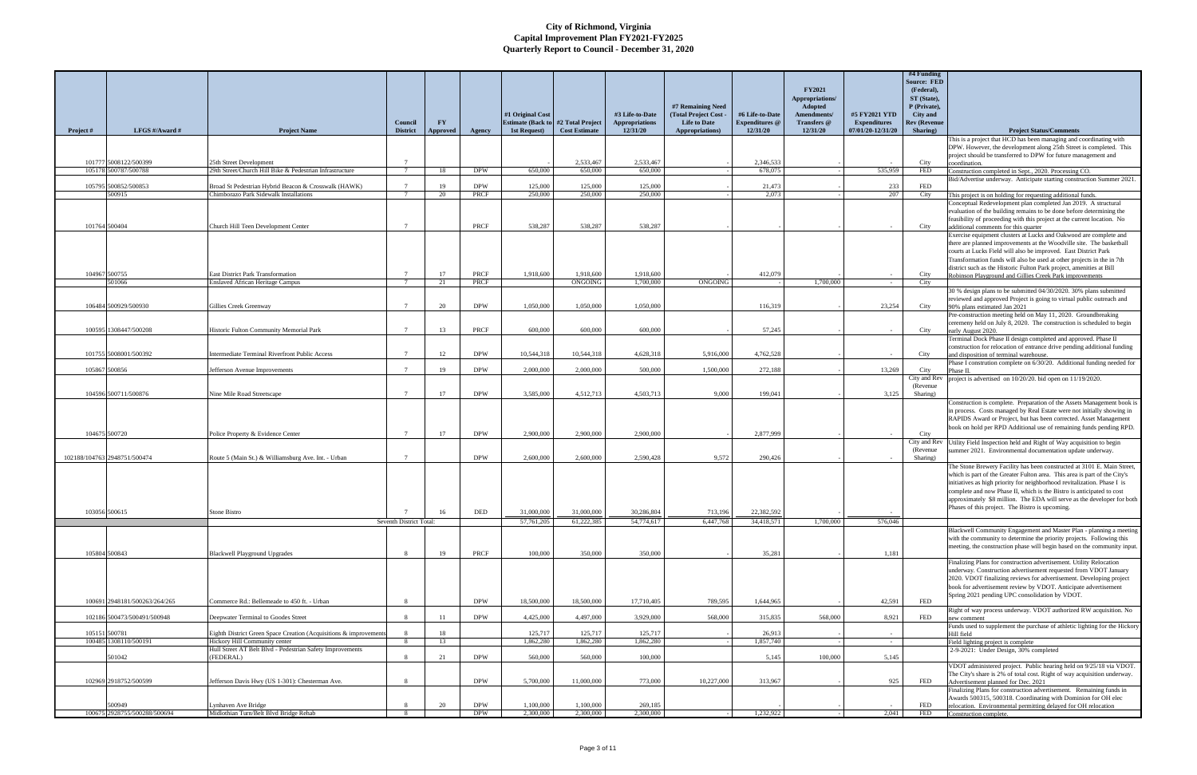| Project # | LFGS #/Award #                               | <b>Project Name</b>                                                                                      | Council<br><b>District</b>                     | <b>FY</b><br>Approved | Agency                   | #1 Original Cost<br><b>Estimate (Back to</b><br>1st Request) | #2 Total Project<br><b>Cost Estimate</b> | #3 Life-to-Date<br><b>Appropriations</b><br>12/31/20 | #7 Remaining Need<br>(Total Project Cost -<br><b>Life to Date</b><br>Appropriations) | #6 Life-to-Date<br><b>Expenditures</b> @<br>12/31/20 | <b>FY2021</b><br>Appropriations/<br>Adopted<br>Amendments/<br>Transfers @<br>12/31/20 | #5 FY2021 YTD<br><b>Expenditures</b><br>07/01/20-12/31/20 | #4 Funding<br><b>Source: FED</b><br>(Federal),<br>ST (State),<br>P (Private),<br>City and<br>Rev (Revenue<br>Sharing) | <b>Project Status/Comments</b>                                                                                                                                                                                                                                                                                                                                                                                                          |
|-----------|----------------------------------------------|----------------------------------------------------------------------------------------------------------|------------------------------------------------|-----------------------|--------------------------|--------------------------------------------------------------|------------------------------------------|------------------------------------------------------|--------------------------------------------------------------------------------------|------------------------------------------------------|---------------------------------------------------------------------------------------|-----------------------------------------------------------|-----------------------------------------------------------------------------------------------------------------------|-----------------------------------------------------------------------------------------------------------------------------------------------------------------------------------------------------------------------------------------------------------------------------------------------------------------------------------------------------------------------------------------------------------------------------------------|
|           |                                              |                                                                                                          |                                                |                       |                          |                                                              |                                          |                                                      |                                                                                      |                                                      |                                                                                       |                                                           |                                                                                                                       | This is a project that HCD has been managing and coordinating with<br>DPW. However, the development along 25th Street is completed. This                                                                                                                                                                                                                                                                                                |
|           | 101777 5008122/500399                        | 25th Street Development                                                                                  | $\overline{7}$                                 |                       |                          |                                                              | 2.533,467                                | 2.533,467                                            |                                                                                      | 2,346,533                                            |                                                                                       |                                                           | City                                                                                                                  | project should be transferred to DPW for future management and                                                                                                                                                                                                                                                                                                                                                                          |
|           | 105178 500787/500788                         | 29th Street/Church Hill Bike & Pedestrian Infrastructure                                                 | $7\phantom{.0}$                                | 18                    | <b>DPW</b>               | 650,000                                                      | 650,000                                  | 650.000                                              |                                                                                      | 678,075                                              |                                                                                       | 535,959                                                   | <b>FED</b>                                                                                                            | coordination.<br>Construction completed in Sept., 2020. Processing CO.                                                                                                                                                                                                                                                                                                                                                                  |
|           | 105795 500852/500853                         | Broad St Pedestrian Hybrid Beacon & Crosswalk (HAWK)                                                     | $7\phantom{.0}$                                | 19                    | <b>DPW</b>               | 125,000                                                      | 125,000                                  | 125,000                                              |                                                                                      | 21,473                                               |                                                                                       | 233                                                       | <b>FED</b>                                                                                                            | Bid/Advertise underway. Anticipate starting construction Summer 2021.                                                                                                                                                                                                                                                                                                                                                                   |
|           | 500915                                       | Chimborazo Park Sidewalk Installations                                                                   | $7\overline{ }$                                | 20                    | PRCF                     | 250,000                                                      | 250,000                                  | 250,000                                              |                                                                                      | 2.073                                                |                                                                                       | 207                                                       | City                                                                                                                  | This project is on holding for requesting additional funds.                                                                                                                                                                                                                                                                                                                                                                             |
|           | 101764 500404                                | Church Hill Teen Development Center                                                                      |                                                |                       | PRCF                     | 538,287                                                      | 538,287                                  | 538,287                                              |                                                                                      |                                                      |                                                                                       |                                                           | City                                                                                                                  | Conceptual Redevelopment plan completed Jan 2019. A structural<br>evaluation of the building remains to be done before determining the<br>feasibility of proceeding with this project at the current location. No<br>additional comments for this quarter                                                                                                                                                                               |
|           |                                              |                                                                                                          |                                                |                       |                          |                                                              |                                          |                                                      |                                                                                      |                                                      |                                                                                       |                                                           |                                                                                                                       | Exercise equipment clusters at Lucks and Oakwood are complete and<br>there are planned improvements at the Woodville site. The basketball<br>courts at Lucks Field will also be improved. East District Park<br>Transformation funds will also be used at other projects in the in 7th<br>district such as the Historic Fulton Park project, amenities at Bill                                                                          |
|           | 104967 500755<br>501066                      | <b>East District Park Transformation</b><br><b>Enslaved African Heritage Campus</b>                      | $7\phantom{.0}$<br>$7\phantom{.0}$             | 17<br>21              | PRCF<br>PRCF             | 1.918.600                                                    | 1,918,600<br>ONGOING                     | 1,918,600<br>1,700,000                               | ONGOING                                                                              | 412,079                                              | 1,700,000                                                                             |                                                           | City<br>City                                                                                                          | Robinson Playground and Gillies Creek Park improvements                                                                                                                                                                                                                                                                                                                                                                                 |
|           |                                              |                                                                                                          |                                                |                       |                          |                                                              |                                          |                                                      |                                                                                      |                                                      |                                                                                       | $\sim$                                                    |                                                                                                                       | 30 % design plans to be submitted 04/30/2020. 30% plans submitted                                                                                                                                                                                                                                                                                                                                                                       |
|           | 106484 500929/500930                         | Gillies Creek Greenway                                                                                   | $7\overline{ }$                                | 20                    | <b>DPW</b>               | 1.050,000                                                    | 1.050.000                                | 1.050.000                                            |                                                                                      | 116,319                                              |                                                                                       | 23.254                                                    | City                                                                                                                  | reviewed and approved Project is going to virtual public outreach and<br>90% plans estimated Jan 2021<br>Pre-construction meeting held on May 11, 2020. Groundbreaking                                                                                                                                                                                                                                                                  |
|           | 100595 1308447/500208                        |                                                                                                          | $7\overline{ }$                                | 13                    | PRCF                     | 600,000                                                      | 600,000                                  | 600,000                                              |                                                                                      | 57,245                                               |                                                                                       |                                                           |                                                                                                                       | ceremeny held on July 8, 2020. The construction is scheduled to begin                                                                                                                                                                                                                                                                                                                                                                   |
|           |                                              | Historic Fulton Community Memorial Park                                                                  |                                                |                       |                          |                                                              |                                          |                                                      |                                                                                      |                                                      |                                                                                       |                                                           | City                                                                                                                  | early August 2020.<br>Terminal Dock Phase II design completed and approved. Phase II                                                                                                                                                                                                                                                                                                                                                    |
|           | 101755 5008001/500392                        | Intermediate Terminal Riverfront Public Access                                                           | $7\phantom{.0}\phantom{.0}7$                   | 12                    | <b>DPW</b>               | 10,544,318                                                   | 10,544,318                               | 4.628.318                                            | 5,916,000                                                                            | 4,762,528                                            |                                                                                       |                                                           | City                                                                                                                  | construction for relocation of entrance drive pending additional funding<br>and disposition of terminal warehouse.                                                                                                                                                                                                                                                                                                                      |
|           |                                              |                                                                                                          |                                                |                       |                          |                                                              |                                          |                                                      |                                                                                      |                                                      |                                                                                       |                                                           |                                                                                                                       | Phase I constrution complete on 6/30/20. Additional funding needed for                                                                                                                                                                                                                                                                                                                                                                  |
|           | 105867 500856                                | Jefferson Avenue Improvements                                                                            | $\mathcal{I}$                                  | 19                    | <b>DPW</b>               | 2,000,000                                                    | 2,000,000                                | 500,000                                              | 1.500,000                                                                            | 272,188                                              |                                                                                       | 13,269                                                    | City<br>City and Rev                                                                                                  | Phase II.<br>project is advertised on 10/20/20. bid open on 11/19/2020.                                                                                                                                                                                                                                                                                                                                                                 |
|           |                                              |                                                                                                          |                                                |                       |                          |                                                              |                                          |                                                      |                                                                                      |                                                      |                                                                                       |                                                           | (Revenue)                                                                                                             |                                                                                                                                                                                                                                                                                                                                                                                                                                         |
|           | 104596 500711/500876<br>104675 500720        | Nine Mile Road Streetscape<br>Police Property & Evidence Center                                          | $7\phantom{.0}\phantom{.0}7$<br>$\overline{7}$ | 17<br>17              | <b>DPW</b><br><b>DPW</b> | 3,585,000<br>2,900,000                                       | 4,512,713<br>2,900,000                   | 4.503.713<br>2,900,000                               | 9,000                                                                                | 199,041<br>2,877,999                                 |                                                                                       | 3,125                                                     | Sharing)<br>City                                                                                                      | Construction is complete. Preparation of the Assets Management book is<br>in process. Costs managed by Real Estate were not initially showing in<br>RAPIDS Award or Project, but has been corrected. Asset Management<br>book on hold per RPD Additional use of remaining funds pending RPD.                                                                                                                                            |
|           |                                              |                                                                                                          |                                                |                       |                          |                                                              |                                          |                                                      |                                                                                      |                                                      |                                                                                       |                                                           | City and Rev                                                                                                          | Utility Field Inspection held and Right of Way acquisition to begin                                                                                                                                                                                                                                                                                                                                                                     |
|           | 102188/104763 2948751/500474                 | Route 5 (Main St.) & Williamsburg Ave. Int. - Urban                                                      | $\overline{7}$                                 |                       | <b>DPW</b>               | 2,600,000                                                    | 2,600,000                                | 2.590.428                                            | 9.572                                                                                | 290,426                                              |                                                                                       |                                                           | (Revenue)<br>Sharing)                                                                                                 | summer 2021. Environmental documentation update underway.                                                                                                                                                                                                                                                                                                                                                                               |
|           |                                              |                                                                                                          | $\overline{7}$                                 |                       |                          |                                                              |                                          |                                                      |                                                                                      |                                                      |                                                                                       |                                                           |                                                                                                                       | The Stone Brewery Facility has been constructed at 3101 E. Main Street,<br>which is part of the Greater Fulton area. This area is part of the City's<br>initiatives as high priority for neighborhood revitalization. Phase I is<br>complete and now Phase II, which is the Bistro is anticipated to cost<br>approximately \$8 million. The EDA will serve as the developer for both<br>Phases of this project. The Bistro is upcoming. |
|           | 103056 500615                                | Stone Bistro                                                                                             | Seventh District Total:                        | 16                    | DED                      | 31,000,000<br>57,761,205                                     | 31,000,000<br>61,222,385                 | 30,286,804<br>54,774,617                             | 713,196<br>6,447,768                                                                 | 22,382,592<br>34,418,571                             | 1,700,000                                                                             | 576,046                                                   |                                                                                                                       |                                                                                                                                                                                                                                                                                                                                                                                                                                         |
|           |                                              |                                                                                                          |                                                |                       |                          |                                                              |                                          |                                                      |                                                                                      |                                                      |                                                                                       |                                                           |                                                                                                                       | Blackwell Community Engagement and Master Plan - planning a meeting<br>with the community to determine the priority projects. Following this<br>meeting, the construction phase will begin based on the community input.                                                                                                                                                                                                                |
|           | 105804 500843                                | <b>Blackwell Playground Upgrades</b>                                                                     | -8                                             | 19                    | PRCF                     | 100,000                                                      | 350,000                                  | 350,000                                              |                                                                                      | 35,281                                               |                                                                                       | 1,181                                                     |                                                                                                                       | Finalizing Plans for construction advertisement. Utility Relocation                                                                                                                                                                                                                                                                                                                                                                     |
|           | 100691 2948181/500263/264/265                | Commerce Rd.: Bellemeade to 450 ft. - Urban                                                              | $\mathbf{R}$                                   |                       | <b>DPW</b>               | 18,500,000                                                   | 18,500,000                               | 17,710,405                                           | 789,595                                                                              | 1,644,965                                            |                                                                                       | 42,591                                                    | <b>FED</b>                                                                                                            | underway. Construction advertisement requested from VDOT January<br>2020. VDOT finalizing reviews for advertisement. Developing project<br>book for advertisement review by VDOT. Anticipate advertisement<br>Spring 2021 pending UPC consolidation by VDOT.                                                                                                                                                                            |
|           |                                              |                                                                                                          |                                                |                       |                          |                                                              |                                          |                                                      |                                                                                      |                                                      |                                                                                       |                                                           |                                                                                                                       | Right of way process underway. VDOT authorized RW acquisition. No                                                                                                                                                                                                                                                                                                                                                                       |
|           | 102186 500473/500491/500948<br>105151 500781 | Deepwater Terminal to Goodes Street<br>Eighth District Green Space Creation (Acquisitions & improvements | -8<br>8                                        | $-11$<br>18           | <b>DPW</b>               | 4,425,000<br>125,717                                         | 4,497,000<br>125,717                     | 3,929,000<br>125,717                                 | 568,000                                                                              | 315,835<br>26,913                                    | 568,000                                                                               | 8,921                                                     | FED                                                                                                                   | new comment<br>Funds used to supplement the purchase of athletic lighting for the Hickory<br>Hill field                                                                                                                                                                                                                                                                                                                                 |
|           | 100485 1308110/500191                        | Hickory Hill Community center                                                                            | 8                                              | 13                    |                          | 1.862.280                                                    | 1,862,280                                | 1,862,280                                            |                                                                                      | 1,857,740                                            |                                                                                       | $\sim$                                                    |                                                                                                                       | Field lighting project is complete                                                                                                                                                                                                                                                                                                                                                                                                      |
|           | 501042                                       | Hull Street AT Belt Blvd - Pedestrian Safety Improvements<br>(FEDERAL)                                   | $\mathbf{8}$                                   | 21                    | <b>DPW</b>               | 560,000                                                      | 560,000                                  | 100,000                                              |                                                                                      | 5,145                                                | 100,000                                                                               | 5,145                                                     |                                                                                                                       | 2-9-2021: Under Design, 30% completed                                                                                                                                                                                                                                                                                                                                                                                                   |
|           | 102969 2918752/500599                        | Jefferson Davis Hwy (US 1-301): Chesterman Ave.                                                          | $\mathbf{R}$                                   |                       | <b>DPW</b>               | 5,700,000                                                    | 11,000,000                               | 773,000                                              | 10,227,000                                                                           | 313,967                                              |                                                                                       | 925                                                       | FED                                                                                                                   | VDOT administered project. Public hearing held on 9/25/18 via VDOT.<br>The City's share is 2% of total cost. Right of way acquisition underway.<br>Advertisement planned for Dec. 2021<br>Finalizing Plans for construction advertisement. Remaining funds in                                                                                                                                                                           |
|           |                                              |                                                                                                          |                                                |                       |                          |                                                              |                                          |                                                      |                                                                                      |                                                      |                                                                                       |                                                           |                                                                                                                       | Awards 500315, 500318. Coordinating with Dominion for OH elec                                                                                                                                                                                                                                                                                                                                                                           |
|           | 500949<br>100675 2928755/500288/500694       | Lynhaven Ave Bridge<br>Midlothian Turn/Belt Blvd Bridge Rehab                                            | $\mathbf{R}$<br>-8                             | 20                    | <b>DPW</b><br><b>DPW</b> | 1,100,000<br>2,300,000                                       | 1,100,000<br>2,300,000                   | 269,185<br>2,300,000                                 |                                                                                      | 1,232,922                                            |                                                                                       | 2,041                                                     | FED<br>FED                                                                                                            | relocation. Environmental permitting delayed for OH relocation<br>Construction complete.                                                                                                                                                                                                                                                                                                                                                |
|           |                                              |                                                                                                          |                                                |                       |                          |                                                              |                                          |                                                      |                                                                                      |                                                      |                                                                                       |                                                           |                                                                                                                       |                                                                                                                                                                                                                                                                                                                                                                                                                                         |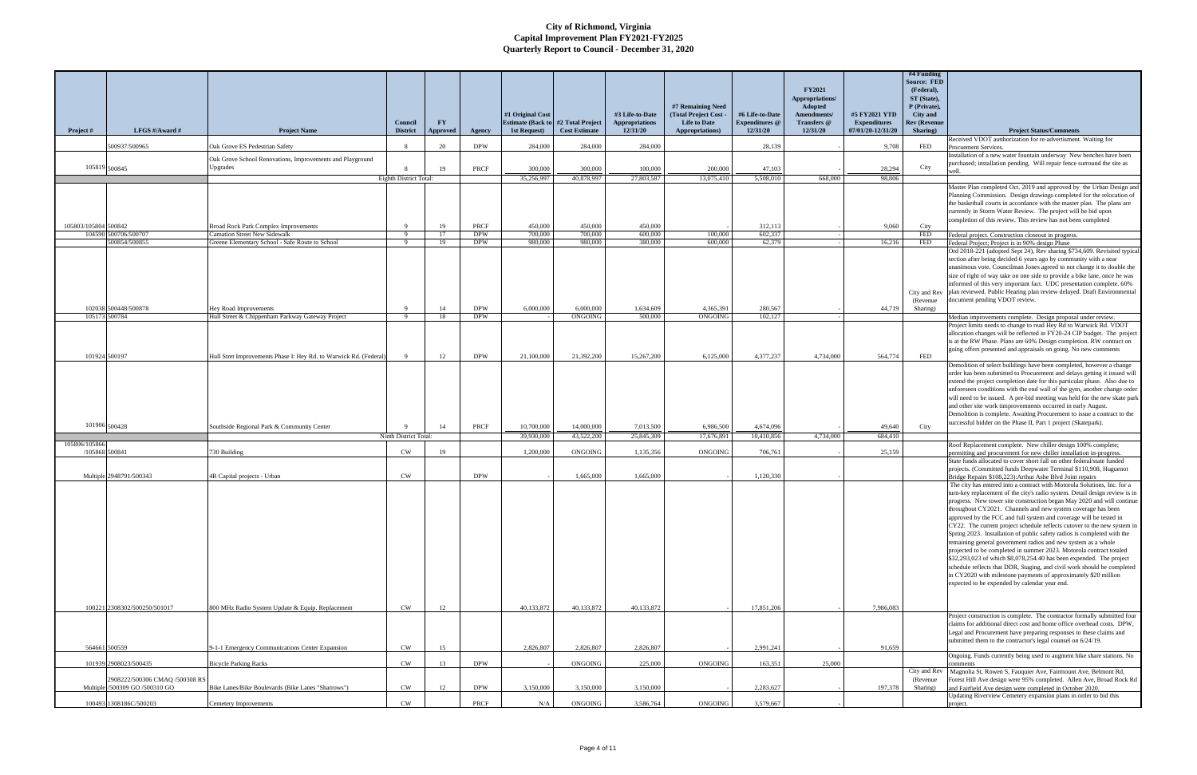| Project #                       | LFGS #/Award #                                                   | <b>Project Name</b>                                                          | Council<br><b>District</b>   | $\mathbf{F}\mathbf{Y}$<br><b>Approved</b> | Agency                   | #1 Original Cost<br><b>Estimate (Back to</b><br>1st Request) | #2 Total Project<br><b>Cost Estimate</b> | #3 Life-to-Date<br><b>Appropriations</b><br>12/31/20 | #7 Remaining Need<br>(Total Project Cost -<br><b>Life to Date</b><br>Appropriations) | #6 Life-to-Date<br><b>Expenditures</b> @<br>12/31/20 | <b>FY2021</b><br>Appropriations/<br>Adopted<br>Amendments/<br>Transfers @<br>12/31/20 | #5 FY2021 YTD<br><b>Expenditures</b><br>07/01/20-12/31/20 | #4 Funding<br><b>Source: FED</b><br>(Federal),<br>ST (State),<br>P (Private),<br>City and<br>Rev (Revenue<br>Sharing) | <b>Project Status/Comments</b>                                                                                                                                                                                                                                                                                                                                                                                                                                                                                                                                                                                                                                                                                                                                                                                                                                                                                                                                                                            |
|---------------------------------|------------------------------------------------------------------|------------------------------------------------------------------------------|------------------------------|-------------------------------------------|--------------------------|--------------------------------------------------------------|------------------------------------------|------------------------------------------------------|--------------------------------------------------------------------------------------|------------------------------------------------------|---------------------------------------------------------------------------------------|-----------------------------------------------------------|-----------------------------------------------------------------------------------------------------------------------|-----------------------------------------------------------------------------------------------------------------------------------------------------------------------------------------------------------------------------------------------------------------------------------------------------------------------------------------------------------------------------------------------------------------------------------------------------------------------------------------------------------------------------------------------------------------------------------------------------------------------------------------------------------------------------------------------------------------------------------------------------------------------------------------------------------------------------------------------------------------------------------------------------------------------------------------------------------------------------------------------------------|
|                                 | 500937/500965                                                    | Oak Grove ES Pedestrian Safety                                               | -8                           | 20                                        | <b>DPW</b>               | 284,000                                                      | 284,000                                  | 284,000                                              |                                                                                      | 28,139                                               |                                                                                       | 9,708                                                     | FED                                                                                                                   | Received VDOT autthorization for re-advertisment. Waiting for<br>Procuement Services.                                                                                                                                                                                                                                                                                                                                                                                                                                                                                                                                                                                                                                                                                                                                                                                                                                                                                                                     |
|                                 |                                                                  | Oak Grove School Renovations, Improvements and Playground                    |                              |                                           |                          |                                                              |                                          |                                                      |                                                                                      |                                                      |                                                                                       |                                                           |                                                                                                                       | Installation of a new water fountain underway New benches have been                                                                                                                                                                                                                                                                                                                                                                                                                                                                                                                                                                                                                                                                                                                                                                                                                                                                                                                                       |
| 105819 500845                   |                                                                  | Upgrades                                                                     |                              | 19                                        | PRCF                     | 300,000                                                      | 300,000                                  | 100,000                                              | 200,000                                                                              | 47.103                                               |                                                                                       | 28.294                                                    | City                                                                                                                  | purchased; installation pending. Will repair fence surround the site as                                                                                                                                                                                                                                                                                                                                                                                                                                                                                                                                                                                                                                                                                                                                                                                                                                                                                                                                   |
|                                 |                                                                  |                                                                              | Eighth District Total:       |                                           |                          | 35,256,997                                                   | 40,878,997                               | 27,803,587                                           | 13,075,410                                                                           | 5.508.010                                            | 668,000                                                                               | 98,806                                                    |                                                                                                                       | Master Plan completed Oct. 2019 and approved by the Urban Design and                                                                                                                                                                                                                                                                                                                                                                                                                                                                                                                                                                                                                                                                                                                                                                                                                                                                                                                                      |
|                                 |                                                                  |                                                                              |                              |                                           |                          |                                                              |                                          |                                                      |                                                                                      |                                                      |                                                                                       |                                                           |                                                                                                                       | Planning Commission. Design drawings completed for the relocation of<br>the basketball courts in accordance with the master plan. The plans are<br>currently in Storm Water Review. The project will be bid upon<br>completion of this review. This review has not been completed                                                                                                                                                                                                                                                                                                                                                                                                                                                                                                                                                                                                                                                                                                                         |
| 105803/105804 500842            | 104590 500706/500707                                             | <b>Broad Rock Park Complex Improvements</b><br>Carnation Street New Sidewalk | $\mathbf{Q}$<br>- 9          | 19<br>17                                  | PRCF<br><b>DPW</b>       | 450,000<br>700,000                                           | 450,000<br>700,000                       | 450,000<br>600,000                                   | 100,000                                                                              | 312,113<br>602,337                                   |                                                                                       | 9,060                                                     | City<br><b>FED</b>                                                                                                    | Federal project. Construction closeout in progress.                                                                                                                                                                                                                                                                                                                                                                                                                                                                                                                                                                                                                                                                                                                                                                                                                                                                                                                                                       |
|                                 | 500854/500855                                                    | Greene Elementary School - Safe Route to School                              | -9                           | 19                                        | <b>DPW</b>               | 980,000                                                      | 980,000                                  | 380,000                                              | 600.000                                                                              | 62,379                                               |                                                                                       | 16,216                                                    | <b>FED</b>                                                                                                            | Federal Project; Project is in 90% design Phase                                                                                                                                                                                                                                                                                                                                                                                                                                                                                                                                                                                                                                                                                                                                                                                                                                                                                                                                                           |
|                                 |                                                                  |                                                                              |                              |                                           |                          |                                                              |                                          |                                                      |                                                                                      |                                                      |                                                                                       |                                                           | (Revenue)                                                                                                             | Ord 2018-221 (adopted Sept 24), Rev sharing \$734,609. Revisited typical<br>section after being decided 6 years ago by community with a near<br>unanimous vote. Councilman Jones agreed to not change it to double the<br>size of right of way take on one side to provide a bike lane, once he was<br>informed of this very important fact. UDC presentation complete. 60%<br>City and Rev plan reviewed. Public Hearing plan review delayed. Draft Environmental<br>document pending VDOT review.                                                                                                                                                                                                                                                                                                                                                                                                                                                                                                       |
|                                 | 102038 500448/500878<br>105173 500784                            | Hey Road Improvements                                                        | $\mathbf{Q}$<br>$\mathbf{Q}$ | -14                                       | <b>DPW</b><br><b>DPW</b> | 6,000,000                                                    | 6,000,000<br>ONGOING                     | 1,634,609<br>500.000                                 | 4,365,391<br>ONGOING                                                                 | 280,567<br>102,127                                   |                                                                                       | 44,719                                                    | Sharing)                                                                                                              |                                                                                                                                                                                                                                                                                                                                                                                                                                                                                                                                                                                                                                                                                                                                                                                                                                                                                                                                                                                                           |
|                                 |                                                                  | Hull Street & Chippenham Parkway Gateway Project                             |                              | 18                                        |                          |                                                              |                                          |                                                      |                                                                                      |                                                      |                                                                                       |                                                           |                                                                                                                       | Median improvements complete. Design proposal under review.<br>Project limits needs to change to read Hey Rd to Warwick Rd. VDOT<br>allocation changes will be reflected in FY20-24 CIP budget. The project<br>is at the RW Phase. Plans are 60% Design completion. RW contract on<br>going offers presented and appraisals on going. No new comments                                                                                                                                                                                                                                                                                                                                                                                                                                                                                                                                                                                                                                                     |
|                                 | 101924 500197                                                    | Hull Stret Improvements Phase I: Hey Rd. to Warwick Rd. (Federal)            | $\Omega$                     | 12                                        | <b>DPW</b>               | 21,100,000                                                   | 21,392,200                               | 15,267,200                                           | 6.125,000                                                                            | 4,377,237                                            | 4,734,000                                                                             | 564,774                                                   | FED                                                                                                                   | Demolition of select buildings have been completed, however a change                                                                                                                                                                                                                                                                                                                                                                                                                                                                                                                                                                                                                                                                                                                                                                                                                                                                                                                                      |
| 101906 500428                   |                                                                  | Southside Regional Park & Community Center                                   |                              | 14                                        | PRCF                     | 10,700,000                                                   | 14,000,000                               | 7,013,500                                            | 6,986,500                                                                            | 4,674,096                                            |                                                                                       | 49,640                                                    | City                                                                                                                  | order has been submitted to Procurement and delays getting it issued will<br>extend the project completion date for this particular phase. Also due to<br>unforeseen conditions with the end wall of the gym, another change order<br>will need to be issued. A pre-bid meeting was held for the new skate park<br>and other site work timprovemnents occurred in early August<br>Demolition is complete. Awaiting Procurement to issue a contract to the<br>successful bidder on the Phase II, Part 1 project (Skatepark).                                                                                                                                                                                                                                                                                                                                                                                                                                                                               |
|                                 |                                                                  |                                                                              | Ninth District Total:        |                                           |                          | 39,930,000                                                   | 43,522,200                               | 25,845,309                                           | 17,676,891                                                                           | 10.410.856                                           | 4,734,000                                                                             | 684,410                                                   |                                                                                                                       |                                                                                                                                                                                                                                                                                                                                                                                                                                                                                                                                                                                                                                                                                                                                                                                                                                                                                                                                                                                                           |
| 105806/105866<br>/105868 500841 |                                                                  | 730 Building                                                                 | CW                           | 19                                        |                          | 1,200,000                                                    | ONGOING                                  | 1,135,356                                            | ONGOING                                                                              | 706,761                                              |                                                                                       | 25,159                                                    |                                                                                                                       | Roof Replacement complete. New chiller design 100% complete;<br>permitting and procurement for new chiller installation in-progress.                                                                                                                                                                                                                                                                                                                                                                                                                                                                                                                                                                                                                                                                                                                                                                                                                                                                      |
|                                 |                                                                  |                                                                              |                              |                                           |                          |                                                              |                                          |                                                      |                                                                                      |                                                      |                                                                                       |                                                           |                                                                                                                       | State funds allocated to cover short fall on other federal/state funded<br>projects. (Committed funds Deepwater Terminal \$110,908, Huguenot                                                                                                                                                                                                                                                                                                                                                                                                                                                                                                                                                                                                                                                                                                                                                                                                                                                              |
|                                 | Multiple 2948791/500343                                          | 4R Capital projects - Urban                                                  | <b>CW</b>                    |                                           | <b>DPW</b>               |                                                              | 1,665,000                                | 1,665,000                                            |                                                                                      | 1,120,330                                            |                                                                                       |                                                           |                                                                                                                       | Bridge Repairs \$108,223): Arthur Ashe Blvd Joint repairs<br>The city has entered into a contract with Motorola Solutions, Inc. for a<br>turn-key replacement of the city's radio system. Detail design review is in<br>progress. New tower site construction began May 2020 and will continue<br>throughout CY2021. Channels and new system coverage has been<br>approved by the FCC and full system and coverage will be tested in<br>CY22. The current project schedule reflects cutover to the new system in<br>Spring 2023. Installation of public safety radios is completed with the<br>remaining general government radios and new system as a whole<br>projected to be completed in summer 2023. Motorola contract totaled<br>\$32,293,023 of which \$8,078,254.40 has been expended. The project<br>schedule reflects that DDR, Staging, and civil work should be completed<br>in CY2020 with milestone payments of approximately \$20 million<br>expected to be expended by calendar year end. |
|                                 | 100221 2308302/500250/501017                                     | 800 MHz Radio System Update & Equip. Replacement                             | <b>CW</b>                    | 12                                        |                          | 40,133,872                                                   | 40,133,872                               | 40,133,872                                           |                                                                                      | 17,851,206                                           |                                                                                       | 7,986,083                                                 |                                                                                                                       |                                                                                                                                                                                                                                                                                                                                                                                                                                                                                                                                                                                                                                                                                                                                                                                                                                                                                                                                                                                                           |
|                                 | 564661 500559                                                    | 9-1-1 Emergency Communications Center Expansion                              | <b>CW</b>                    | 15                                        |                          | 2,826,807                                                    | 2,826,807                                | 2,826,807                                            |                                                                                      | 2,991,241                                            |                                                                                       | 91,659                                                    |                                                                                                                       | Project construction is complete. The contractor formally submitted four<br>claims for additional direct cost and home office overhead costs. DPW,<br>Legal and Procurement have preparing responses to these claims and<br>submitted them to the contractor's legal counsel on 6/24/19.                                                                                                                                                                                                                                                                                                                                                                                                                                                                                                                                                                                                                                                                                                                  |
|                                 | 101939 2908023/500435                                            | <b>Bicycle Parking Racks</b>                                                 | CW                           | 13                                        | <b>DPW</b>               |                                                              | ONGOING                                  | 225,000                                              | ONGOING                                                                              | 163,351                                              | 25,000                                                                                |                                                           |                                                                                                                       | Ongoing. Funds currently being used to augment bike share stations. No                                                                                                                                                                                                                                                                                                                                                                                                                                                                                                                                                                                                                                                                                                                                                                                                                                                                                                                                    |
|                                 | 2908222/500306 CMAQ /500308 RS<br>Multiple /500309 GO /500310 GO | Bike Lanes/Bike Boulevards (Bike Lanes "Sharrows")                           | <b>CW</b>                    | 12                                        | <b>DPW</b>               | 3,150,000                                                    | 3,150,000                                | 3,150,000                                            |                                                                                      | 2,283,627                                            |                                                                                       | 197,378                                                   | City and Rev<br>(Revenue)<br>Sharing)                                                                                 | omments<br>Magnolia St, Rowen S, Fauquier Ave, Fairmount Ave, Belmont Rd,<br>Forest Hill Ave design were 95% completed. Allen Ave, Broad Rock Rd<br>and Fairfield Ave design were completed in October 2020.                                                                                                                                                                                                                                                                                                                                                                                                                                                                                                                                                                                                                                                                                                                                                                                              |
|                                 | 100493 1308186C/500203                                           |                                                                              | CW                           |                                           | PRCF                     | N/A                                                          | ONGOING                                  | 3,586,764                                            | <b>ONGOING</b>                                                                       | 3,579,667                                            |                                                                                       |                                                           |                                                                                                                       | Updating Riverview Cemetery expansion plans in order to bid this                                                                                                                                                                                                                                                                                                                                                                                                                                                                                                                                                                                                                                                                                                                                                                                                                                                                                                                                          |
|                                 |                                                                  | Cemetery Improvements                                                        |                              |                                           |                          |                                                              |                                          |                                                      |                                                                                      |                                                      |                                                                                       |                                                           |                                                                                                                       | project.                                                                                                                                                                                                                                                                                                                                                                                                                                                                                                                                                                                                                                                                                                                                                                                                                                                                                                                                                                                                  |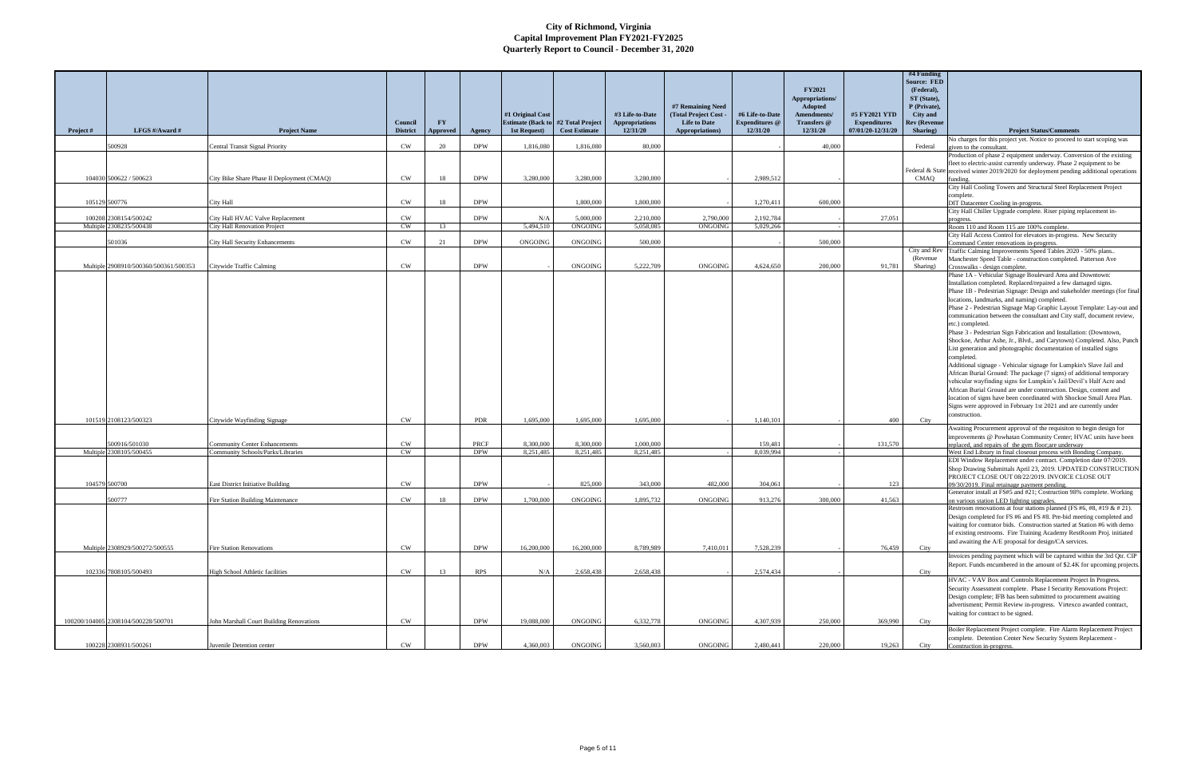|           |                                          |                                                                    | Council                | <b>FY</b>       |                    | #1 Original Cost<br><b>Estimate (Back to</b> | #2 Total Project       | #3 Life-to-Date<br><b>Appropriations</b> | #7 Remaining Need<br>(Total Project Cost -<br><b>Life to Date</b> | #6 Life-to-Date<br><b>Expenditures</b> @ | <b>FY2021</b><br>Appropriations/<br>Adopted<br>Amendments/<br>Transfers @ | #5 FY2021 YTD<br><b>Expenditures</b> | #4 Funding<br><b>Source: FED</b><br>(Federal),<br>ST (State),<br>P (Private),<br>City and<br><b>Rev (Revenue</b> |                                                                                                                                                    |
|-----------|------------------------------------------|--------------------------------------------------------------------|------------------------|-----------------|--------------------|----------------------------------------------|------------------------|------------------------------------------|-------------------------------------------------------------------|------------------------------------------|---------------------------------------------------------------------------|--------------------------------------|------------------------------------------------------------------------------------------------------------------|----------------------------------------------------------------------------------------------------------------------------------------------------|
| Project # | LFGS #/Award #                           | <b>Project Name</b>                                                | <b>District</b>        | <b>Approved</b> | Agency             | 1st Request)                                 | <b>Cost Estimate</b>   | 12/31/20                                 | <b>Appropriations)</b>                                            | 12/31/20                                 | 12/31/20                                                                  | 07/01/20-12/31/20                    | Sharing)                                                                                                         | <b>Project Status/Comments</b><br>No charges for this project yet. Notice to proceed to start scoping was                                          |
|           | 500928                                   | Central Transit Signal Priority                                    | CW                     | 20              | <b>DPW</b>         | 1,816,080                                    | 1,816,080              | 80,000                                   |                                                                   |                                          | 40,000                                                                    |                                      | Federal                                                                                                          | given to the consultant.                                                                                                                           |
|           |                                          |                                                                    |                        |                 |                    |                                              |                        |                                          |                                                                   |                                          |                                                                           |                                      |                                                                                                                  | Production of phase 2 equipment underway. Conversion of the existing<br>fleet to electric-assist currently underway. Phase 2 equipment to be       |
|           |                                          |                                                                    |                        |                 |                    |                                              |                        |                                          |                                                                   |                                          |                                                                           |                                      |                                                                                                                  | Federal & State received winter 2019/2020 for deployment pending additional operations                                                             |
|           | 104030 500622 / 500623                   | City Bike Share Phase II Deployment (CMAQ)                         | <b>CW</b>              | 18              | <b>DPW</b>         | 3.280,000                                    | 3,280,000              | 3.280,000                                |                                                                   | 2,989,512                                |                                                                           |                                      | CMAQ                                                                                                             | imding.<br>City Hall Cooling Towers and Structural Steel Replacement Project                                                                       |
|           |                                          |                                                                    |                        |                 |                    |                                              |                        |                                          |                                                                   |                                          |                                                                           |                                      |                                                                                                                  | complete.                                                                                                                                          |
|           | 105129 500776                            | City Hall                                                          | <b>CW</b>              | 18              | <b>DPW</b>         |                                              | 1,800,000              | 1,800,000                                |                                                                   | 1,270,411                                | 600,000                                                                   |                                      |                                                                                                                  | <b>OIT</b> Datacenter Cooling in-progress.<br>City Hall Chiller Upgrade complete. Riser piping replacement in-                                     |
|           | 100208 2308154/500242                    | City Hall HVAC Valve Replacement                                   | CW                     |                 | <b>DPW</b>         | N/A                                          | 5,000,000              | 2,210,000                                | 2,790,000                                                         | 2,192,784                                |                                                                           | 27,051                               |                                                                                                                  | progress.                                                                                                                                          |
|           | Multiple 2308235/500438                  | <b>City Hall Renovation Project</b>                                | <b>CW</b>              | 13              |                    | 5,494,510                                    | ONGOING                | 5.058.085                                | ONGOING                                                           | 5.029.266                                |                                                                           |                                      |                                                                                                                  | Room 110 and Room 115 are 100% complete.<br>City Hall Access Control for elevators in-progress. New Security                                       |
|           | 501036                                   | <b>City Hall Security Enhancements</b>                             | <b>CW</b>              | 21              | <b>DPW</b>         | <b>ONGOING</b>                               | ONGOING                | 500,000                                  |                                                                   |                                          | 500,000                                                                   |                                      |                                                                                                                  | Command Center renovations in-progress.                                                                                                            |
|           |                                          |                                                                    |                        |                 |                    |                                              |                        |                                          |                                                                   |                                          |                                                                           |                                      | (Revenue)                                                                                                        | City and Rev Traffic Calming Improvements Speed Tables 2020 - 50% plans<br>Manchester Speed Table - construction completed. Patterson Ave          |
|           | Multiple 2908910/500360/500361/500353    | Citywide Traffic Calming                                           | <b>CW</b>              |                 | <b>DPW</b>         |                                              | ONGOING                | 5,222,709                                | ONGOING                                                           | 4,624,650                                | 200,000                                                                   | 91,781                               | Sharing)                                                                                                         | Crosswalks - design complete.                                                                                                                      |
|           |                                          |                                                                    |                        |                 |                    |                                              |                        |                                          |                                                                   |                                          |                                                                           |                                      |                                                                                                                  | Phase 1A - Vehicular Signage Boulevard Area and Downtown:<br>Installation completed. Replaced/repaired a few damaged signs.                        |
|           |                                          |                                                                    |                        |                 |                    |                                              |                        |                                          |                                                                   |                                          |                                                                           |                                      |                                                                                                                  | Phase 1B - Pedestrian Signage: Design and stakeholder meetings (for final                                                                          |
|           |                                          |                                                                    |                        |                 |                    |                                              |                        |                                          |                                                                   |                                          |                                                                           |                                      |                                                                                                                  | locations, landmarks, and naming) completed.                                                                                                       |
|           |                                          |                                                                    |                        |                 |                    |                                              |                        |                                          |                                                                   |                                          |                                                                           |                                      |                                                                                                                  | Phase 2 - Pedestrian Signage Map Graphic Layout Template: Lay-out and<br>communication between the consultant and City staff, document review,     |
|           |                                          |                                                                    |                        |                 |                    |                                              |                        |                                          |                                                                   |                                          |                                                                           |                                      |                                                                                                                  | etc.) completed.                                                                                                                                   |
|           |                                          |                                                                    |                        |                 |                    |                                              |                        |                                          |                                                                   |                                          |                                                                           |                                      |                                                                                                                  | Phase 3 - Pedestrian Sign Fabrication and Installation: (Downtown,                                                                                 |
|           |                                          |                                                                    |                        |                 |                    |                                              |                        |                                          |                                                                   |                                          |                                                                           |                                      |                                                                                                                  | Shockoe, Arthur Ashe, Jr., Blvd., and Carytown) Completed. Also, Punch<br>List generation and photographic documentation of installed signs        |
|           |                                          |                                                                    |                        |                 |                    |                                              |                        |                                          |                                                                   |                                          |                                                                           |                                      |                                                                                                                  | completed.                                                                                                                                         |
|           |                                          |                                                                    |                        |                 |                    |                                              |                        |                                          |                                                                   |                                          |                                                                           |                                      |                                                                                                                  | Additional signage - Vehicular signage for Lumpkin's Slave Jail and<br>African Burial Ground: The package (7 signs) of additional temporary        |
|           |                                          |                                                                    |                        |                 |                    |                                              |                        |                                          |                                                                   |                                          |                                                                           |                                      |                                                                                                                  | vehicular wayfinding signs for Lumpkin's Jail/Devil's Half Acre and                                                                                |
|           |                                          |                                                                    |                        |                 |                    |                                              |                        |                                          |                                                                   |                                          |                                                                           |                                      |                                                                                                                  | African Burial Ground are under construction. Design, content and                                                                                  |
|           |                                          |                                                                    |                        |                 |                    |                                              |                        |                                          |                                                                   |                                          |                                                                           |                                      |                                                                                                                  | location of signs have been coordinated with Shockoe Small Area Plan.<br>Signs were approved in February 1st 2021 and are currently under          |
|           |                                          |                                                                    |                        |                 |                    |                                              |                        |                                          |                                                                   |                                          |                                                                           |                                      |                                                                                                                  | construction.                                                                                                                                      |
|           | 101519 2108123/500323                    | Citywide Wayfinding Signage                                        | <b>CW</b>              |                 | <b>PDR</b>         | 1,695,000                                    | 1,695,000              | 1.695,000                                |                                                                   | 1.140.101                                |                                                                           | 400                                  | City                                                                                                             | Awaiting Procurement approval of the requisiton to begin design for                                                                                |
|           |                                          |                                                                    |                        |                 |                    |                                              |                        |                                          |                                                                   |                                          |                                                                           |                                      |                                                                                                                  | improvements @ Powhatan Community Center; HVAC units have been                                                                                     |
|           | 500916/501030<br>Multiple 2308105/500455 | Community Center Enhancements<br>Community Schools/Parks/Libraries | <b>CW</b><br><b>CW</b> |                 | PRCF<br><b>DPW</b> | 8,300,000<br>8,251,485                       | 8,300,000<br>8,251,485 | 1,000,000<br>8,251,485                   |                                                                   | 159.481<br>8.039.994                     |                                                                           | 131,570                              |                                                                                                                  | replaced, and repairs of the gym floor; are underway<br>West End Library in final closeout process with Bonding Company.                           |
|           |                                          |                                                                    |                        |                 |                    |                                              |                        |                                          |                                                                   |                                          |                                                                           |                                      |                                                                                                                  | EDI Window Replacement under contract. Completion date 07/2019.                                                                                    |
|           |                                          |                                                                    |                        |                 |                    |                                              |                        |                                          |                                                                   |                                          |                                                                           |                                      |                                                                                                                  | Shop Drawing Submittals April 23, 2019. UPDATED CONSTRUCTION<br>PROJECT CLOSE OUT 08/22/2019. INVOICE CLOSE OUT                                    |
|           | 104579 500700                            | <b>East District Initiative Building</b>                           | <b>CW</b>              |                 | <b>DPW</b>         |                                              | 825,000                | 343,000                                  | 482,000                                                           | 304.061                                  |                                                                           | 123                                  |                                                                                                                  | 09/30/2019. Final retainage payment pending.                                                                                                       |
|           |                                          |                                                                    |                        |                 |                    |                                              |                        |                                          |                                                                   |                                          |                                                                           |                                      |                                                                                                                  | Generator install at FS#5 and #21; Costruction 98% complete. Working                                                                               |
|           | 500777                                   | Fire Station Building Maintenance                                  | CW                     | 18              | <b>DPW</b>         | 1,700,000                                    | ONGOING                | 1,895,732                                | ONGOING                                                           | 913,276                                  | 300,000                                                                   | 41,563                               |                                                                                                                  | on various station LED lighting upgrades.<br>Restroom renovations at four stations planned (FS #6, #8, #19 & # 21).                                |
|           |                                          |                                                                    |                        |                 |                    |                                              |                        |                                          |                                                                   |                                          |                                                                           |                                      |                                                                                                                  | Design completed for FS #6 and FS #8. Pre-bid meeting completed and                                                                                |
|           |                                          |                                                                    |                        |                 |                    |                                              |                        |                                          |                                                                   |                                          |                                                                           |                                      |                                                                                                                  | waiting for contrator bids. Construction started at Station #6 with demo-<br>of existing restrooms. Fire Training Academy RestRoom Proj. initiated |
|           |                                          |                                                                    |                        |                 |                    |                                              |                        |                                          |                                                                   |                                          |                                                                           |                                      |                                                                                                                  | and awaiting the A/E proposal for design/CA services.                                                                                              |
|           | Multiple 2308929/500272/500555           | <b>Fire Station Renovations</b>                                    | CW                     |                 | <b>DPW</b>         | 16,200,000                                   | 16,200,000             | 8.789.989                                | 7,410,011                                                         | 7.528.239                                |                                                                           | 76.459                               | City                                                                                                             |                                                                                                                                                    |
|           |                                          |                                                                    |                        |                 |                    |                                              |                        |                                          |                                                                   |                                          |                                                                           |                                      |                                                                                                                  | Invoices pending payment which will be captured within the 3rd Qtr. CIP<br>Report. Funds encumbered in the amount of \$2.4K for upcoming projects. |
|           | 102336 7808105/500493                    | High School Athletic facilities                                    | CW                     | 13              | <b>RPS</b>         | N/A                                          | 2,658,438              | 2,658,438                                |                                                                   | 2,574,434                                |                                                                           |                                      | City                                                                                                             |                                                                                                                                                    |
|           |                                          |                                                                    |                        |                 |                    |                                              |                        |                                          |                                                                   |                                          |                                                                           |                                      |                                                                                                                  | HVAC - VAV Box and Controls Replacement Project In Progress.<br>Security Assessment complete. Phase I Security Renovations Project:                |
|           |                                          |                                                                    |                        |                 |                    |                                              |                        |                                          |                                                                   |                                          |                                                                           |                                      |                                                                                                                  | Design complete; IFB has been submitted to procurement awaiting                                                                                    |
|           |                                          |                                                                    |                        |                 |                    |                                              |                        |                                          |                                                                   |                                          |                                                                           |                                      |                                                                                                                  | advertisment; Permit Review in-progress. Virtexco awarded contract,<br>waiting for contract to be signed.                                          |
|           | 100200/104005 2308104/500228/500701      | John Marshall Court Building Renovations                           | <b>CW</b>              |                 | <b>DPW</b>         | 19,088,000                                   | ONGOING                | 6,332,778                                | ONGOING                                                           | 4,307,939                                | 250,000                                                                   | 369,990                              | City                                                                                                             |                                                                                                                                                    |
|           |                                          |                                                                    |                        |                 |                    |                                              |                        |                                          |                                                                   |                                          |                                                                           |                                      |                                                                                                                  | Boiler Replacement Project complete. Fire Alarm Replacement Project                                                                                |
|           | 100228 2308931/500261                    | Iuvenile Detention center                                          | CW                     |                 | <b>DPW</b>         | 4,360,003                                    | ONGOING                | 3.560,003                                | ONGOING                                                           | 2,480,441                                | 220,000                                                                   | 19,263                               | City                                                                                                             | complete. Detention Center New Security System Replacement -<br>Construction in-progress.                                                          |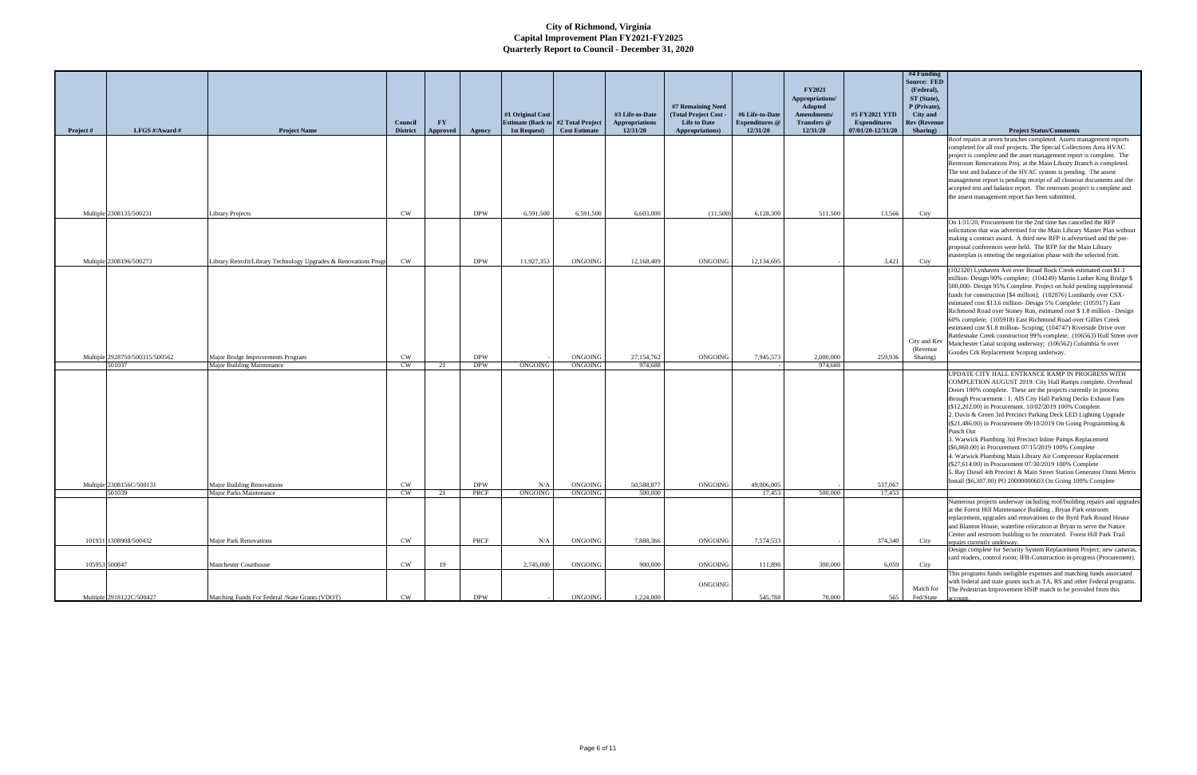|               | LFGS #/Award #                     |                                                                   | Council         | <b>FY</b>       |                    | #1 Original Cost<br><b>Estimate (Back to</b> | #2 Total Project<br><b>Cost Estimate</b> | #3 Life-to-Date<br><b>Appropriations</b><br>12/31/20 | #7 Remaining Need<br>(Total Project Cost -<br><b>Life to Date</b> | #6 Life-to-Date<br><b>Expenditures</b> @ | <b>FY2021</b><br>Appropriations/<br>Adopted<br>Amendments/<br>Transfers @ | #5 FY2021 YTD<br><b>Expenditures</b> | #4 Funding<br><b>Source: FED</b><br>(Federal),<br>ST (State),<br>P (Private),<br>City and<br><b>Rev (Revenue</b> |                                                                                                                                                  |
|---------------|------------------------------------|-------------------------------------------------------------------|-----------------|-----------------|--------------------|----------------------------------------------|------------------------------------------|------------------------------------------------------|-------------------------------------------------------------------|------------------------------------------|---------------------------------------------------------------------------|--------------------------------------|------------------------------------------------------------------------------------------------------------------|--------------------------------------------------------------------------------------------------------------------------------------------------|
| Project #     |                                    | <b>Project Name</b>                                               | <b>District</b> | <b>Approved</b> | Agency             | 1st Request)                                 |                                          |                                                      | Appropriations)                                                   | 12/31/20                                 | 12/31/20                                                                  | 07/01/20-12/31/20                    | Sharing)                                                                                                         | <b>Project Status/Comments</b><br>Roof repairs at seven branches completed. Assets management reports                                            |
|               |                                    |                                                                   |                 |                 |                    |                                              |                                          |                                                      |                                                                   |                                          |                                                                           |                                      |                                                                                                                  | completed for all roof projects. The Special Collections Area HVAC                                                                               |
|               |                                    |                                                                   |                 |                 |                    |                                              |                                          |                                                      |                                                                   |                                          |                                                                           |                                      |                                                                                                                  | project is complete and the asset management report is complete. The<br>Restroom Renovations Proj. at the Main Library Branch is completed.      |
|               |                                    |                                                                   |                 |                 |                    |                                              |                                          |                                                      |                                                                   |                                          |                                                                           |                                      |                                                                                                                  | The test and balance of the HVAC system is pending. The assest                                                                                   |
|               |                                    |                                                                   |                 |                 |                    |                                              |                                          |                                                      |                                                                   |                                          |                                                                           |                                      |                                                                                                                  | management report is pending receipt of all closeout documents and the                                                                           |
|               |                                    |                                                                   |                 |                 |                    |                                              |                                          |                                                      |                                                                   |                                          |                                                                           |                                      |                                                                                                                  | accepted test and balance report. The restroom project is complete and<br>the assest management report has been submitted.                       |
|               |                                    |                                                                   |                 |                 |                    |                                              |                                          |                                                      |                                                                   |                                          |                                                                           |                                      |                                                                                                                  |                                                                                                                                                  |
|               | Multiple 2308135/500231            | <b>Library Projects</b>                                           | <b>CW</b>       |                 | <b>DPW</b>         | 6,591,500                                    | 6,591,500                                | 6.603,000                                            | (11,500)                                                          | 6,128,300                                | 511,500                                                                   | 13,566                               | City                                                                                                             |                                                                                                                                                  |
|               |                                    |                                                                   |                 |                 |                    |                                              |                                          |                                                      |                                                                   |                                          |                                                                           |                                      |                                                                                                                  | On 1/31/20, Procurement for the 2nd time has cancelled the RFP<br>solicitation that was advertised for the Main Library Master Plan without      |
|               |                                    |                                                                   |                 |                 |                    |                                              |                                          |                                                      |                                                                   |                                          |                                                                           |                                      |                                                                                                                  | making a contract award. A third new RFP is advesrtised and the pre-                                                                             |
|               |                                    |                                                                   |                 |                 |                    |                                              |                                          |                                                      |                                                                   |                                          |                                                                           |                                      |                                                                                                                  | proposal conferences were held. The RFP for the Main Library                                                                                     |
|               | Multiple 2308196/500273            | Library Retrofit/Library Technology Upgrades & Renovations Progra | CW              |                 | <b>DPW</b>         | 11,927,353                                   | <b>ONGOING</b>                           | 12,168,409                                           | ONGOING                                                           | 12,134,695                               |                                                                           | 3,421                                | City                                                                                                             | masterplan is entering the negotiation phase with the selected frim.                                                                             |
|               |                                    |                                                                   |                 |                 |                    |                                              |                                          |                                                      |                                                                   |                                          |                                                                           |                                      |                                                                                                                  | (102320) Lynhaven Ave over Broad Rock Creek estimated cost \$1.1                                                                                 |
|               |                                    |                                                                   |                 |                 |                    |                                              |                                          |                                                      |                                                                   |                                          |                                                                           |                                      |                                                                                                                  | million-Design 90% complete; (104249) Martin Luther King Bridge \$<br>500,000- Design 95% Complete. Project on hold pending supplemental         |
|               |                                    |                                                                   |                 |                 |                    |                                              |                                          |                                                      |                                                                   |                                          |                                                                           |                                      |                                                                                                                  | funds for construction [\$4 million]; (102876) Lombardy over CSX-                                                                                |
|               |                                    |                                                                   |                 |                 |                    |                                              |                                          |                                                      |                                                                   |                                          |                                                                           |                                      |                                                                                                                  | estimated cost \$13.6 million- Design 5% Complete; (105917) East                                                                                 |
|               |                                    |                                                                   |                 |                 |                    |                                              |                                          |                                                      |                                                                   |                                          |                                                                           |                                      |                                                                                                                  | Richmond Road over Stoney Run, estimated cost \$1.8 million - Design<br>60% complete; (105918) East Richmond Road over Gillies Creek             |
|               |                                    |                                                                   |                 |                 |                    |                                              |                                          |                                                      |                                                                   |                                          |                                                                           |                                      |                                                                                                                  | estimated cost \$1.8 million- Scoping; (104747) Riverside Drive over                                                                             |
|               |                                    |                                                                   |                 |                 |                    |                                              |                                          |                                                      |                                                                   |                                          |                                                                           |                                      |                                                                                                                  | Rattlesnake Creek construction 99% complete; (106563) Hull Street over                                                                           |
|               |                                    |                                                                   |                 |                 |                    |                                              |                                          |                                                      |                                                                   |                                          |                                                                           |                                      | City and Rev<br>(Revenue)                                                                                        | Manchester Canal scoping underway; (106562) Columbia St over                                                                                     |
|               | Multiple 2928750/500315/500562     | Major Bridge Improvements Program                                 | $\mathrm{CW}$   |                 | <b>DPW</b>         |                                              | ONGOING                                  | 27,154,762                                           | <b>ONGOING</b>                                                    | 7,945,573                                | 2,000,000                                                                 | 259,936                              | Sharing)                                                                                                         | Goodes Crk Replacement Scoping underway.                                                                                                         |
|               | 501037                             | <b>Major Building Maintenance</b>                                 | $\mathrm{CW}$   | 21              | <b>DPW</b>         | ONGOING                                      | <b>ONGOING</b>                           | 974.688                                              |                                                                   |                                          | 974,688                                                                   |                                      |                                                                                                                  | UPDATE CITY HALL ENTRANCE RAMP IN PROGRESS WITH                                                                                                  |
|               |                                    |                                                                   |                 |                 |                    |                                              |                                          |                                                      |                                                                   |                                          |                                                                           |                                      |                                                                                                                  | COMPLETION AUGUST 2019. City Hall Ramps complete. Overhead                                                                                       |
|               |                                    |                                                                   |                 |                 |                    |                                              |                                          |                                                      |                                                                   |                                          |                                                                           |                                      |                                                                                                                  | Doors 100% complete. These are the projects currently in process                                                                                 |
|               |                                    |                                                                   |                 |                 |                    |                                              |                                          |                                                      |                                                                   |                                          |                                                                           |                                      |                                                                                                                  | through Procurement : 1. AIS City Hall Parking Decks Exhaust Fans                                                                                |
|               |                                    |                                                                   |                 |                 |                    |                                              |                                          |                                                      |                                                                   |                                          |                                                                           |                                      |                                                                                                                  | (\$12,202.00) in Procurement. 10/02/2019 100% Complete.<br>2. Davis & Green 3rd Precinct Parking Deck LED Lighting Upgrade                       |
|               |                                    |                                                                   |                 |                 |                    |                                              |                                          |                                                      |                                                                   |                                          |                                                                           |                                      |                                                                                                                  | (\$21,486.00) in Procurement 09/10/2019 On Going Programming &                                                                                   |
|               |                                    |                                                                   |                 |                 |                    |                                              |                                          |                                                      |                                                                   |                                          |                                                                           |                                      |                                                                                                                  | Punch Out                                                                                                                                        |
|               |                                    |                                                                   |                 |                 |                    |                                              |                                          |                                                      |                                                                   |                                          |                                                                           |                                      |                                                                                                                  | 3. Warwick Plumbing 3rd Precinct Inline Pumps Replacement<br>(\$6,860.00) in Procurement 07/15/2019 100% Complete                                |
|               |                                    |                                                                   |                 |                 |                    |                                              |                                          |                                                      |                                                                   |                                          |                                                                           |                                      |                                                                                                                  | 4. Warwick Plumbing Main Library Air Compressor Replacement                                                                                      |
|               |                                    |                                                                   |                 |                 |                    |                                              |                                          |                                                      |                                                                   |                                          |                                                                           |                                      |                                                                                                                  | (\$27,614.00) in Procurement 07/30/2019 100% Complete                                                                                            |
|               |                                    |                                                                   |                 |                 |                    |                                              |                                          |                                                      |                                                                   |                                          |                                                                           |                                      |                                                                                                                  | 5. Bay Diesel 4th Precinct & Main Street Station Generator Omni Metrix<br>Install (\$6,307.00) PO 20000000603 On Going 100% Complete             |
|               | Multiple 2308156C/500131<br>501039 | <b>Major Building Renovations</b><br>Major Parks Maintenance      | CW<br>CW        | 21              | <b>DPW</b><br>PRCF | N/A<br>ONGOING                               | ONGOING<br>ONGOING                       | 50,588,877<br>500,000                                | <b>ONGOING</b>                                                    | 49,006,005<br>17,453                     | 500,000                                                                   | 537,067<br>17,453                    |                                                                                                                  |                                                                                                                                                  |
|               |                                    |                                                                   |                 |                 |                    |                                              |                                          |                                                      |                                                                   |                                          |                                                                           |                                      |                                                                                                                  | Numerous projects underway including roof/building repairs and upgrades                                                                          |
|               |                                    |                                                                   |                 |                 |                    |                                              |                                          |                                                      |                                                                   |                                          |                                                                           |                                      |                                                                                                                  | at the Forest Hill Maintenance Building, Bryan Park restroom                                                                                     |
|               |                                    |                                                                   |                 |                 |                    |                                              |                                          |                                                      |                                                                   |                                          |                                                                           |                                      |                                                                                                                  | replacement, upgrades and renovations to the Byrd Park Round House<br>and Blanton House, waterline relocation at Bryan to serve the Nature       |
|               |                                    |                                                                   |                 |                 |                    |                                              |                                          |                                                      |                                                                   |                                          |                                                                           |                                      |                                                                                                                  | Center and restroom building to be renovated. Forest Hill Park Trail                                                                             |
|               | 101931 1308908/500432              | Maior Park Renovations                                            | CW              |                 | PRCF               | N/A                                          | ONGOING                                  | 7,888,366                                            | ONGOING                                                           | 7,574,533                                |                                                                           | 374,340                              | City                                                                                                             | repairs currently underway.                                                                                                                      |
|               |                                    |                                                                   |                 |                 |                    |                                              |                                          |                                                      |                                                                   |                                          |                                                                           |                                      |                                                                                                                  | Design complete for Security System Replacement Project; new cameras,<br>card readers, control room; IFB-Construction in-progress (Procurement). |
| 105953 500847 |                                    | Manchester Courthouse                                             | $\mathrm{CW}$   | 19              |                    | 2,745,000                                    | ONGOING                                  | 900,000                                              | ONGOING                                                           | 111,890                                  | 300,000                                                                   | 6,059                                | City                                                                                                             |                                                                                                                                                  |
|               |                                    |                                                                   |                 |                 |                    |                                              |                                          |                                                      |                                                                   |                                          |                                                                           |                                      |                                                                                                                  | This programs funds ineligible expenses and matching funds associated                                                                            |
|               |                                    |                                                                   |                 |                 |                    |                                              |                                          |                                                      | ONGOING                                                           |                                          |                                                                           |                                      | Match for                                                                                                        | with federal and state grants such as TA, RS and other Federal programs<br>The Pedestrian Improvement HSIP match to be provided from this        |
|               | Multiple 2918122C/500427           | Matching Funds For Federal /State Grants (VDOT)                   | CW              |                 | <b>DPW</b>         |                                              | <b>ONGOING</b>                           | 1,224,000                                            |                                                                   | 545,788                                  | 70,000                                                                    | 565                                  | Fed/State                                                                                                        |                                                                                                                                                  |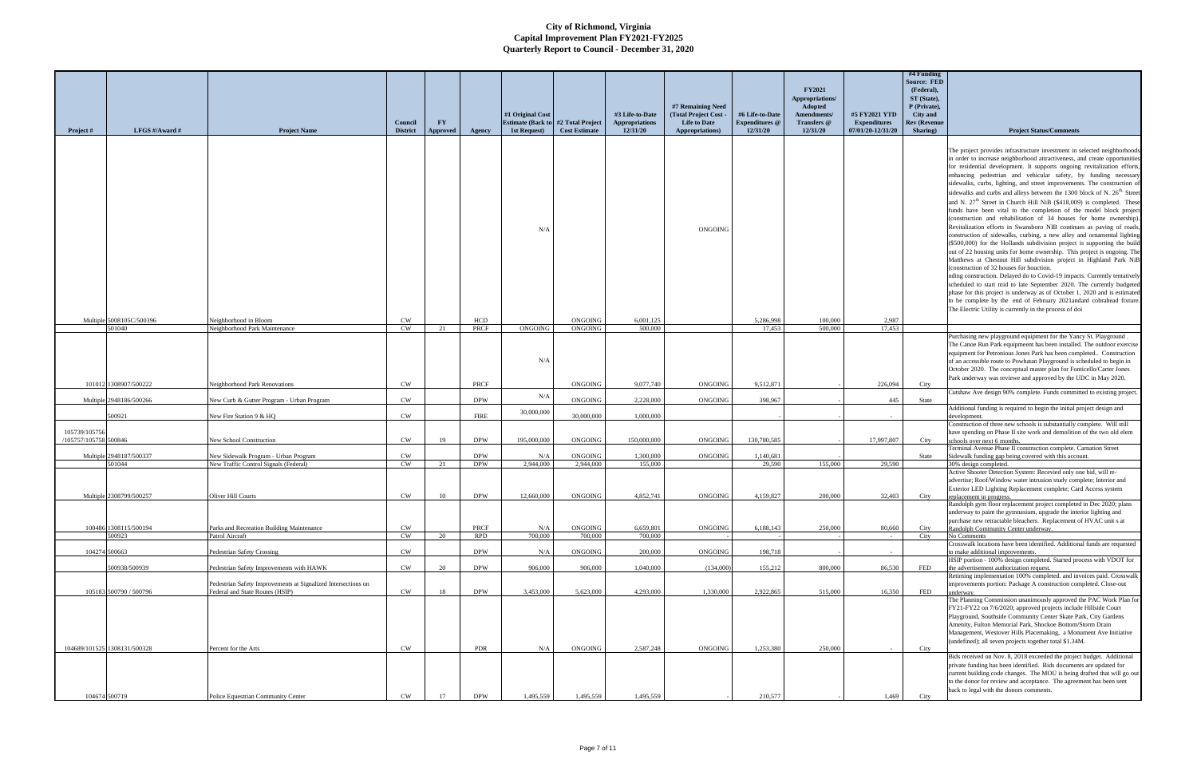| Project #                              | LFGS $\#/$ Award $\#$           | <b>Project Name</b>                                                                              | Council<br><b>District</b> | FY<br>Approved | Agency             | #1 Original Cost<br><b>Estimate (Back to #2 Total Project</b> )<br>1st Request) | <b>Cost Estimate</b>      | #3 Life-to-Date<br><b>Appropriations</b><br>12/31/20 | #7 Remaining Need<br>(Total Project Cost -<br><b>Life to Date</b><br>Appropriations) | #6 Life-to-Date<br><b>Expenditures</b> @<br>12/31/20 | <b>FY2021</b><br>Appropriations/<br>Adopted<br>Amendments/<br>Transfers @<br>12/31/20 | #5 FY2021 YTD<br><b>Expenditures</b><br>07/01/20-12/31/20 | #4 Funding<br><b>Source: FED</b><br>(Federal),<br>ST (State),<br>P (Private),<br>City and<br><b>Rev (Revenue</b><br>Sharing) | <b>Project Status/Comments</b>                                                                                                                                                                                                                                                                                                                                                                                                                                                                                                                                                                                                                                                                                                                                                                                                                                                                                                                                                                                                                                                                                                                                                                                                                                                                                                                                                                                                                                                                                 |
|----------------------------------------|---------------------------------|--------------------------------------------------------------------------------------------------|----------------------------|----------------|--------------------|---------------------------------------------------------------------------------|---------------------------|------------------------------------------------------|--------------------------------------------------------------------------------------|------------------------------------------------------|---------------------------------------------------------------------------------------|-----------------------------------------------------------|------------------------------------------------------------------------------------------------------------------------------|----------------------------------------------------------------------------------------------------------------------------------------------------------------------------------------------------------------------------------------------------------------------------------------------------------------------------------------------------------------------------------------------------------------------------------------------------------------------------------------------------------------------------------------------------------------------------------------------------------------------------------------------------------------------------------------------------------------------------------------------------------------------------------------------------------------------------------------------------------------------------------------------------------------------------------------------------------------------------------------------------------------------------------------------------------------------------------------------------------------------------------------------------------------------------------------------------------------------------------------------------------------------------------------------------------------------------------------------------------------------------------------------------------------------------------------------------------------------------------------------------------------|
|                                        |                                 |                                                                                                  |                            |                |                    | N/A                                                                             |                           |                                                      | ONGOING                                                                              |                                                      |                                                                                       |                                                           |                                                                                                                              | The project provides infrastructure investment in selected neighborhoods<br>in order to increase neighborhood attractiveness, and create opportunities<br>for residential development. It supports ongoing revitalization efforts,<br>enhancing pedestrian and vehicular safety, by funding necessary<br>sidewalks, curbs, lighting, and street improvements. The construction of<br>sidewalks and curbs and alleys between the 1300 block of N. 26 <sup>th</sup> , Street<br>and N. 27 <sup>th</sup> Street in Church Hill NiB (\$418,009) is completed. These<br>funds have been vital to the completion of the model block project<br>(construction and rehabilitation of 34 houses for home ownership).<br>Revitalization efforts in Swansboro NIB continues as paving of roads,<br>construction of sidewalks, curbing, a new alley and ornamental lighting<br>(\$500,000) for the Hollands subdivision project is supporting the build<br>out of 22 housing units for home ownership. This project is ongoing. The<br>Matthews at Chestnut Hill subdivision project in Highland Park NiB<br>(construction of 32 houses for houction.<br>nding construction. Delayed do to Covid-19 impacts. Currently tentatively<br>scheduled to start mid to late September 2020. The currently budgeted<br>phase for this project is underway as of October 1, 2020 and is estimated<br>to be complete by the end of February 2021andard cobrahead fixture.<br>The Electric Utility is currently in the process of doi |
|                                        | Multiple 5008105C/500396        | Neighborhood in Bloom                                                                            | <b>CW</b>                  |                | HCD                |                                                                                 | ONGOING                   | 6,001,125                                            |                                                                                      | 5,286,998                                            | 100,000                                                                               | 2,987                                                     |                                                                                                                              |                                                                                                                                                                                                                                                                                                                                                                                                                                                                                                                                                                                                                                                                                                                                                                                                                                                                                                                                                                                                                                                                                                                                                                                                                                                                                                                                                                                                                                                                                                                |
|                                        | 501040                          | Neighborhood Park Maintenance                                                                    | CW                         | 21             | <b>PRCF</b>        | ONGOING<br>N/A                                                                  | <b>ONGOING</b>            | 500,000                                              |                                                                                      | 17.453                                               | 500,000                                                                               | 17,453                                                    |                                                                                                                              | Purchasing new playground equipment for the Yancy St. Playground.<br>The Canoe Run Park equipmeent has been installed. The outdoor exercise<br>equipment for Petronious Jones Park has been completed Construction<br>of an accessible route to Powhatan Playground is scheduled to begin in<br>October 2020. The conceptual master plan for Fonticello/Carter Jones<br>Park underway was reviewe and approved by the UDC in May 2020.                                                                                                                                                                                                                                                                                                                                                                                                                                                                                                                                                                                                                                                                                                                                                                                                                                                                                                                                                                                                                                                                         |
|                                        | 101012 1308907/500222           | Neighborhood Park Renovations                                                                    | CW                         |                | PRCF               |                                                                                 | <b>ONGOING</b>            | 9,077,740                                            | <b>ONGOING</b>                                                                       | 9,512,871                                            |                                                                                       | 226,094                                                   | City                                                                                                                         |                                                                                                                                                                                                                                                                                                                                                                                                                                                                                                                                                                                                                                                                                                                                                                                                                                                                                                                                                                                                                                                                                                                                                                                                                                                                                                                                                                                                                                                                                                                |
|                                        | Multiple 2948186/500266         | New Curb & Gutter Program - Urban Program                                                        | CW                         |                | <b>DPW</b>         | N/A                                                                             | ONGOING                   | 2,228,000                                            | <b>ONGOING</b>                                                                       | 398,967                                              |                                                                                       | 445                                                       | State                                                                                                                        | Cutshaw Ave design 90% complete. Funds committed to existing project.                                                                                                                                                                                                                                                                                                                                                                                                                                                                                                                                                                                                                                                                                                                                                                                                                                                                                                                                                                                                                                                                                                                                                                                                                                                                                                                                                                                                                                          |
|                                        | 500921                          | New Fire Station 9 & HQ                                                                          | <b>CW</b>                  |                | <b>FIRE</b>        | 30,000,000                                                                      | 30,000,000                | 1,000,000                                            |                                                                                      |                                                      |                                                                                       |                                                           |                                                                                                                              | Additional funding is required to begin the initial project design and<br>development.                                                                                                                                                                                                                                                                                                                                                                                                                                                                                                                                                                                                                                                                                                                                                                                                                                                                                                                                                                                                                                                                                                                                                                                                                                                                                                                                                                                                                         |
| 105739/105756<br>/105757/105758 500846 |                                 | New School Construction                                                                          | CW                         | 19             | <b>DPW</b>         | 195,000,000                                                                     | ONGOING                   | 150,000,000                                          | ONGOING                                                                              | 130,780,585                                          |                                                                                       | 17,997,807                                                | City                                                                                                                         | Construction of three new schools is substantially complete. Will still<br>have spending on Phase II site work and demolition of the two old elem<br>schools over next 6 months<br>Terminal Avenue Phase II construction complete. Carnation Street                                                                                                                                                                                                                                                                                                                                                                                                                                                                                                                                                                                                                                                                                                                                                                                                                                                                                                                                                                                                                                                                                                                                                                                                                                                            |
|                                        | Multiple 2948187/500337         | New Sidewalk Program - Urban Program                                                             | CW                         |                | <b>DPW</b>         | N/A                                                                             | <b>ONGOING</b>            | 1.300,000                                            | ONGOING                                                                              | 1.140.681                                            |                                                                                       |                                                           | State                                                                                                                        | Sidewalk funding gap being covered with this account.                                                                                                                                                                                                                                                                                                                                                                                                                                                                                                                                                                                                                                                                                                                                                                                                                                                                                                                                                                                                                                                                                                                                                                                                                                                                                                                                                                                                                                                          |
|                                        | 501044                          | New Traffic Control Signals (Federal)                                                            | <b>CW</b>                  | 21             | <b>DPW</b>         | 2,944,000                                                                       | 2,944,000                 | 155,000                                              |                                                                                      | 29,590                                               | 155,000                                                                               | 29,590                                                    |                                                                                                                              | 30% design completed.<br>Active Shooter Detection System: Recevied only one bid, will re-<br>advertise; Roof/Window water intrusion study complete; Interior and<br>Exterior LED Lighting Replacement complete; Card Access system                                                                                                                                                                                                                                                                                                                                                                                                                                                                                                                                                                                                                                                                                                                                                                                                                                                                                                                                                                                                                                                                                                                                                                                                                                                                             |
|                                        | Multiple 2308799/500257         | Oliver Hill Courts                                                                               | CW                         | 10             | <b>DPW</b>         | 12,660,000                                                                      | <b>ONGOING</b>            | 4,852,741                                            | ONGOING                                                                              | 4,159,827                                            | 200,000                                                                               | 32,403                                                    | City                                                                                                                         | replacement in progress.<br>Randolph gym floor replacement project completed in Dec 2020; plans<br>underway to paint the gymnasium, upgrade the interior lighting and<br>purchase new retractable bleachers. Replacement of HVAC unit s at                                                                                                                                                                                                                                                                                                                                                                                                                                                                                                                                                                                                                                                                                                                                                                                                                                                                                                                                                                                                                                                                                                                                                                                                                                                                     |
|                                        | 100486 1308115/500194<br>500923 | Parks and Recreation Building Maintenance<br>Patrol Aircraft                                     | CW<br>CW                   | 20             | PRCF<br><b>RPD</b> | N/A<br>700,000                                                                  | <b>ONGOING</b><br>700,000 | 6,659,801<br>700,000                                 | ONGOING                                                                              | 6,188,143                                            | 250,000                                                                               | 80,660<br>$\sim$                                          | City<br>City                                                                                                                 | Randolph Community Center underway.<br>No Comments                                                                                                                                                                                                                                                                                                                                                                                                                                                                                                                                                                                                                                                                                                                                                                                                                                                                                                                                                                                                                                                                                                                                                                                                                                                                                                                                                                                                                                                             |
|                                        | 104274 500663                   | Pedestrian Safety Crossing                                                                       | <b>CW</b>                  |                | <b>DPW</b>         | N/A                                                                             | ONGOING                   | 200,000                                              | <b>ONGOING</b>                                                                       | 198,718                                              |                                                                                       |                                                           |                                                                                                                              | Crosswalk locations have been identified. Additional funds are requested<br>to make additional improvements.<br>HSIP portion - 100% design completed. Started process with VDOT for                                                                                                                                                                                                                                                                                                                                                                                                                                                                                                                                                                                                                                                                                                                                                                                                                                                                                                                                                                                                                                                                                                                                                                                                                                                                                                                            |
|                                        | 500938/500939                   | Pedestrian Safety Improvements with HAWK                                                         | CW                         | 20             | <b>DPW</b>         | 906,000                                                                         | 906,000                   | 1,040,000                                            | (134,000)                                                                            | 155,212                                              | 800,000                                                                               | 86,530                                                    | FED                                                                                                                          | the advertisement authorization request.                                                                                                                                                                                                                                                                                                                                                                                                                                                                                                                                                                                                                                                                                                                                                                                                                                                                                                                                                                                                                                                                                                                                                                                                                                                                                                                                                                                                                                                                       |
|                                        | 105183 500790 / 500796          | Pedestrian Safety Improvements at Signalized Intersections on<br>Federal and State Routes (HSIP) | <b>CW</b>                  | 18             | <b>DPW</b>         | 3.453,000                                                                       | 5,623,000                 | 4.293,000                                            | 1,330,000                                                                            | 2.922.865                                            | 515,000                                                                               | 16.350                                                    | <b>FED</b>                                                                                                                   | Retiming implementation 100% completed. and invoices paid. Crosswalk<br>improvements portion: Package A construction completed. Close-out<br>underway.                                                                                                                                                                                                                                                                                                                                                                                                                                                                                                                                                                                                                                                                                                                                                                                                                                                                                                                                                                                                                                                                                                                                                                                                                                                                                                                                                         |
|                                        | 104689/101525 1308131/500328    | Percent for the Arts                                                                             | <b>CW</b>                  |                | <b>PDR</b>         | N/A                                                                             | ONGOING                   | 2,587,248                                            | ONGOING                                                                              | 1,253,380                                            | 250,000                                                                               |                                                           | City                                                                                                                         | The Planning Commission unanimously approved the PAC Work Plan for<br>FY21-FY22 on 7/6/2020; approved projects include Hillside Court<br>Playground, Southside Community Center Skate Park, City Gardens<br>Amenity, Fulton Memorial Park, Shockoe Bottom/Storm Drain<br>Management, Westover Hills Placemaking, a Monument Ave Initiative<br>(undefined); all seven projects together total \$1.34M.                                                                                                                                                                                                                                                                                                                                                                                                                                                                                                                                                                                                                                                                                                                                                                                                                                                                                                                                                                                                                                                                                                          |
|                                        | 104674 500719                   | Police Equestrian Community Center                                                               | CW                         | 17             | <b>DPW</b>         | 1.495.559                                                                       | 1,495,559                 | 1,495,559                                            |                                                                                      | 210,577                                              |                                                                                       | 1.469                                                     | City                                                                                                                         | Bids received on Nov. 8, 2018 exceeded the project budget. Additional<br>private funding has been identified. Bids documents are updated for<br>current building code changes. The MOU is being drafted that will go out<br>to the donor for review and acceptance. The agreement has been sent<br>back to legal with the donors comments.                                                                                                                                                                                                                                                                                                                                                                                                                                                                                                                                                                                                                                                                                                                                                                                                                                                                                                                                                                                                                                                                                                                                                                     |
|                                        |                                 |                                                                                                  |                            |                |                    |                                                                                 |                           |                                                      |                                                                                      |                                                      |                                                                                       |                                                           |                                                                                                                              |                                                                                                                                                                                                                                                                                                                                                                                                                                                                                                                                                                                                                                                                                                                                                                                                                                                                                                                                                                                                                                                                                                                                                                                                                                                                                                                                                                                                                                                                                                                |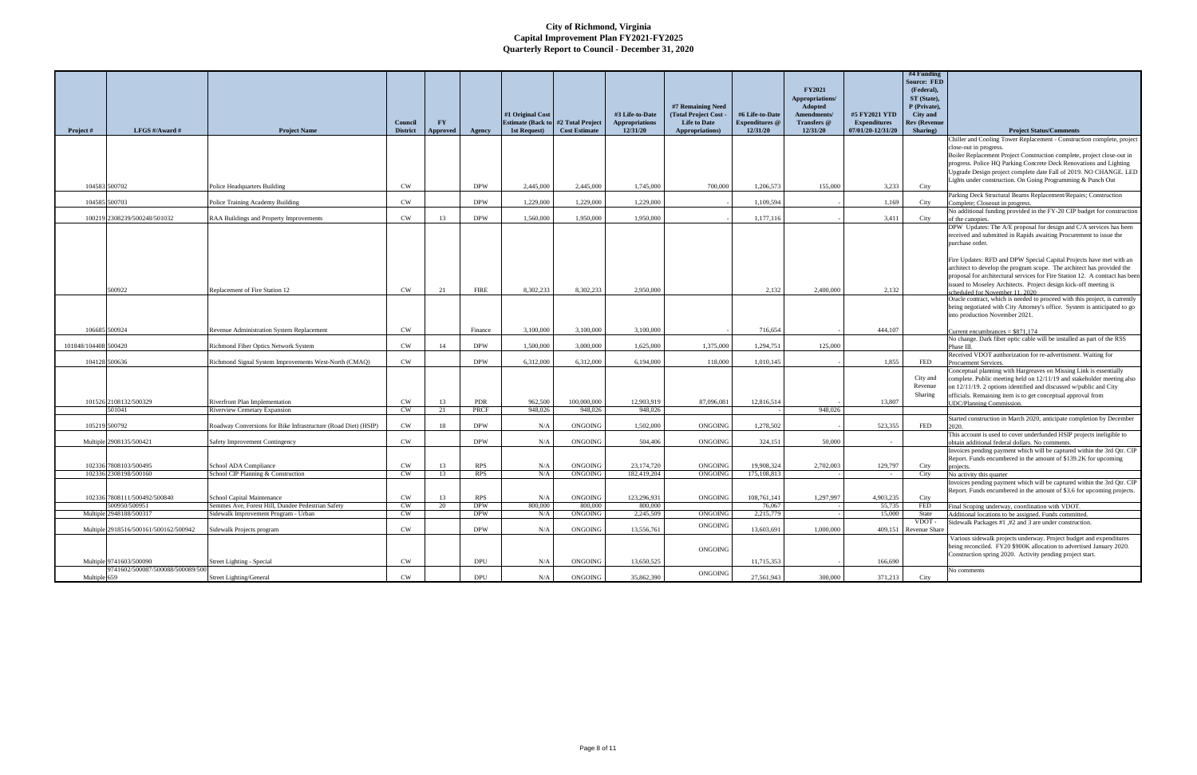|                      |                                       |                                                                | Council         | <b>FY</b> |             | #1 Original Cost<br><b>Estimate (Back to</b> | #2 Total Project     | #3 Life-to-Date<br><b>Appropriations</b> | #7 Remaining Need<br>(Total Project Cost<br><b>Life to Date</b> | #6 Life-to-Date<br><b>Expenditures</b> @ | <b>FY2021</b><br>Appropriations/<br><b>Adopted</b><br>Amendments/<br>Transfers @ | #5 FY2021 YTD<br><b>Expenditures</b> | #4 Funding<br><b>Source: FED</b><br>(Federal),<br>ST (State),<br>P (Private),<br>City and<br><b>Rev (Revenue</b> |                                                                                                                                                                                                                                                                                                                                                                                                                                                                  |
|----------------------|---------------------------------------|----------------------------------------------------------------|-----------------|-----------|-------------|----------------------------------------------|----------------------|------------------------------------------|-----------------------------------------------------------------|------------------------------------------|----------------------------------------------------------------------------------|--------------------------------------|------------------------------------------------------------------------------------------------------------------|------------------------------------------------------------------------------------------------------------------------------------------------------------------------------------------------------------------------------------------------------------------------------------------------------------------------------------------------------------------------------------------------------------------------------------------------------------------|
| Project #            | LFGS #/Award #                        | <b>Project Name</b>                                            | <b>District</b> | Approved  | Agency      | 1st Request)                                 | <b>Cost Estimate</b> | 12/31/20                                 | Appropriations)                                                 | 12/31/20                                 | 12/31/20                                                                         | 07/01/20-12/31/20                    | Sharing)                                                                                                         | <b>Project Status/Comments</b>                                                                                                                                                                                                                                                                                                                                                                                                                                   |
|                      |                                       |                                                                |                 |           |             |                                              |                      |                                          |                                                                 |                                          |                                                                                  |                                      |                                                                                                                  | Chiller and Cooling Tower Replacement - Construction complete, project<br>close-out in progress.<br>Boiler Replacement Project Construction complete, project close-out in<br>progress. Police HQ Parking Concrete Deck Renovations and Lighting<br>Upgrade Design project complete date Fall of 2019. NO CHANGE. LED<br>Lights under construction. On Going Programming & Punch Out                                                                             |
|                      | 104583 500702                         | Police Headquarters Building                                   | <b>CW</b>       |           | <b>DPW</b>  | 2,445,000                                    | 2,445,000            | 1,745,000                                | 700,000                                                         | 1.206.573                                | 155,000                                                                          | 3.233                                | City                                                                                                             |                                                                                                                                                                                                                                                                                                                                                                                                                                                                  |
|                      | 104585 500703                         | Police Training Academy Building                               | CW              |           | <b>DPW</b>  | 1,229,000                                    | 1,229,000            | 1,229,000                                |                                                                 | 1,109,594                                |                                                                                  | 1,169                                | City                                                                                                             | Parking Deck Structural Beams Replacement/Repairs; Construction<br>Complete; Closeout in progress.                                                                                                                                                                                                                                                                                                                                                               |
|                      |                                       |                                                                |                 |           |             |                                              |                      |                                          |                                                                 |                                          |                                                                                  |                                      |                                                                                                                  | No additional funding provided in the FY-20 CIP budget for construction                                                                                                                                                                                                                                                                                                                                                                                          |
|                      | 100219 2308239/500248/501032          | RAA Buildings and Property Improvements                        | CW              | 13        | <b>DPW</b>  | 1,560,000                                    | 1,950,000            | 1,950,000                                |                                                                 | 1,177,116                                |                                                                                  | 3,411                                | City                                                                                                             | of the canopies.                                                                                                                                                                                                                                                                                                                                                                                                                                                 |
|                      |                                       |                                                                |                 |           |             |                                              |                      |                                          |                                                                 |                                          |                                                                                  |                                      |                                                                                                                  | DPW Updates: The A/E proposal for design and C/A services has been<br>received and submitted in Rapids awaiting Procurement to issue the<br>purchase order.<br>Fire Updates: RFD and DPW Special Capital Projects have met with an<br>architect to develop the program scope. The architect has provided the<br>proposal for architectural services for Fire Station 12. A contract has been<br>issued to Moseley Architects. Project design kick-off meeting is |
|                      | 500922                                | Replacement of Fire Station 12                                 | <b>CW</b>       | 21        | <b>FIRE</b> | 8,302,233                                    | 8,302,233            | 2,950,000                                |                                                                 | 2,132                                    | 2,400,000                                                                        | 2,132                                |                                                                                                                  | cheduled for November 11 2020                                                                                                                                                                                                                                                                                                                                                                                                                                    |
|                      |                                       |                                                                |                 |           |             |                                              |                      |                                          |                                                                 |                                          |                                                                                  |                                      |                                                                                                                  | Oracle contract, which is needed to proceed with this project, is currently<br>being negotiated with City Attorney's office. System is anticipated to go<br>into production November 2021.                                                                                                                                                                                                                                                                       |
|                      | 106685 500924                         | Revenue Administration System Replacement                      | <b>CW</b>       |           | Finance     | 3,100,000                                    | 3,100,000            | 3,100,000                                |                                                                 | 716,654                                  |                                                                                  | 444,107                              |                                                                                                                  | Current encumbrances $= $871,174$                                                                                                                                                                                                                                                                                                                                                                                                                                |
| 101848/104408 500420 |                                       | Richmond Fiber Optics Network System                           | CW              | 14        | <b>DPW</b>  | 1,500,000                                    | 3,000,000            | 1.625,000                                | 1,375,000                                                       | 1,294,751                                | 125,000                                                                          |                                      |                                                                                                                  | No change. Dark fiber optic cable will be installed as part of the RSS<br>Phase III.                                                                                                                                                                                                                                                                                                                                                                             |
|                      | 104128 500636                         | Richmond Signal System Improvements West-North (CMAQ)          | CW              |           | <b>DPW</b>  | 6,312,000                                    | 6,312,000            | 6,194,000                                | 118,000                                                         | 1,010,145                                |                                                                                  | 1.855                                | FED                                                                                                              | Received VDOT autthorization for re-advertisment. Waiting for<br>Procuement Services.                                                                                                                                                                                                                                                                                                                                                                            |
|                      | 101526 2108132/500329                 | Riverfront Plan Implementation                                 | <b>CW</b>       | 13        | PDR         | 962,500                                      | 100,000,000          | 12,903,919                               | 87,096,081                                                      | 12,816,514                               |                                                                                  | 13,807                               | City and<br>Revenue<br>Sharing                                                                                   | Conceptual planning with Hargreaves on Missing Link is essentially<br>complete. Public meeting held on 12/11/19 and stakeholder meeting also<br>on 12/11/19. 2 options identified and discussed w/public and City<br>officials. Remaining item is to get conceptual approval from<br><b>JDC/Planning Commission.</b>                                                                                                                                             |
|                      | 501041                                | <b>Riverview Cemetary Expansion</b>                            | <b>CW</b>       | 21        | <b>PRCF</b> | 948,026                                      | 948,026              | 948,026                                  |                                                                 |                                          | 948,026                                                                          |                                      |                                                                                                                  |                                                                                                                                                                                                                                                                                                                                                                                                                                                                  |
|                      | 105219 500792                         | Roadway Conversions for Bike Infrastructure (Road Diet) (HSIP) | CW              | 18        | <b>DPW</b>  | N/A                                          | <b>ONGOING</b>       | 1.502.000                                | ONGOING                                                         | 1.278.502                                |                                                                                  | 523.355                              | FED                                                                                                              | Started construction in March 2020, anticipate completion by December<br>2020.                                                                                                                                                                                                                                                                                                                                                                                   |
|                      | Multiple 2908135/500421               | Safety Improvement Contingency                                 | CW              |           | <b>DPW</b>  | N/A                                          | ONGOING              | 504,406                                  | ONGOING                                                         | 324,151                                  | 50,000                                                                           |                                      |                                                                                                                  | This account is used to cover underfunded HSIP projects ineligible to<br>obtain additional federal dollars. No comments.                                                                                                                                                                                                                                                                                                                                         |
| 102336               | 7808103/500495                        | School ADA Compliance                                          | <b>CW</b>       | 13        | RPS         | N/A                                          | ONGOING              | 23,174,720                               | ONGOING                                                         | 19,908,324                               | 2,702,003                                                                        | 129,797                              | City                                                                                                             | Invoices pending payment which will be captured within the 3rd Qtr. CIP<br>Report. Funds encumbered in the amount of \$139.2K for upcoming<br>projects.                                                                                                                                                                                                                                                                                                          |
|                      | 102336 2308198/500160                 | School CIP Planning & Construction                             | CW.             | 13        | <b>RPS</b>  | N/A                                          | <b>ONGOING</b>       | 182,419,204                              | ONGOING                                                         | 175,108,813                              |                                                                                  |                                      | City                                                                                                             | No activity this quarter                                                                                                                                                                                                                                                                                                                                                                                                                                         |
|                      | 102336 7808111/500492/500840          | School Capital Maintenance                                     | <b>CW</b>       | 13        | RPS         | N/A                                          | ONGOING              | 123,296,931                              | <b>ONGOING</b>                                                  | 108,761,141                              | 1,297,997                                                                        | 4.903.235                            | City                                                                                                             | Invoices pending payment which will be captured within the 3rd Qtr. CIP<br>Report. Funds encumbered in the amount of \$3.6 for upcoming projects.                                                                                                                                                                                                                                                                                                                |
|                      | 500950/500951                         | Semmes Ave, Forest Hill, Dundee Pedestrian Safety              | CW              | 20        | <b>DPW</b>  | 800,000                                      | 800,000              | 800,000                                  |                                                                 | 76,067                                   |                                                                                  | 55,735                               | FED                                                                                                              | Final Scoping underway, coordination with VDOT.                                                                                                                                                                                                                                                                                                                                                                                                                  |
|                      | Multiple 2948188/500317               | Sidewalk Improvement Program - Urban                           | CW              |           | <b>DPW</b>  | N/A                                          | ONGOING              | 2,245,509                                | ONGOING                                                         | 2,215,779                                |                                                                                  | 15,000                               | State<br>VDOT-                                                                                                   | Additional locations to be assigned. Funds committed.<br>Sidewalk Packages #1, #2 and 3 are under construction.                                                                                                                                                                                                                                                                                                                                                  |
|                      | Multiple 2918516/500161/500162/500942 | Sidewalk Projects program                                      | CW              |           | <b>DPW</b>  | N/A                                          | ONGOING              | 13,556,761                               | ONGOING                                                         | 13,603,691                               | 1,000,000                                                                        |                                      | 409,151 Revenue Share                                                                                            |                                                                                                                                                                                                                                                                                                                                                                                                                                                                  |
|                      | Multiple 9741603/500090               | Street Lighting - Special                                      | CW              |           | <b>DPU</b>  | N/A                                          | ONGOING              | 13,650,525                               | <b>ONGOING</b>                                                  | 11,715,353                               |                                                                                  | 166,690                              |                                                                                                                  | Various sidewalk projects underway. Project budget and expenditures<br>being reconciled. FY20 \$900K allocation to advertised January 2020.<br>Construction spring 2020. Activity pending project start.                                                                                                                                                                                                                                                         |
|                      | 9741602/500087/500088/500089/500      |                                                                |                 |           |             |                                              |                      |                                          | ONGOING                                                         |                                          |                                                                                  |                                      |                                                                                                                  | No comments                                                                                                                                                                                                                                                                                                                                                                                                                                                      |
| Multiple 659         |                                       | <b>Street Lighting/General</b>                                 | CW              |           | <b>DPU</b>  | N/A                                          | ONGOING              | 35,862,390                               |                                                                 | 27,561,943                               | 300,000                                                                          | 371,213                              | City                                                                                                             |                                                                                                                                                                                                                                                                                                                                                                                                                                                                  |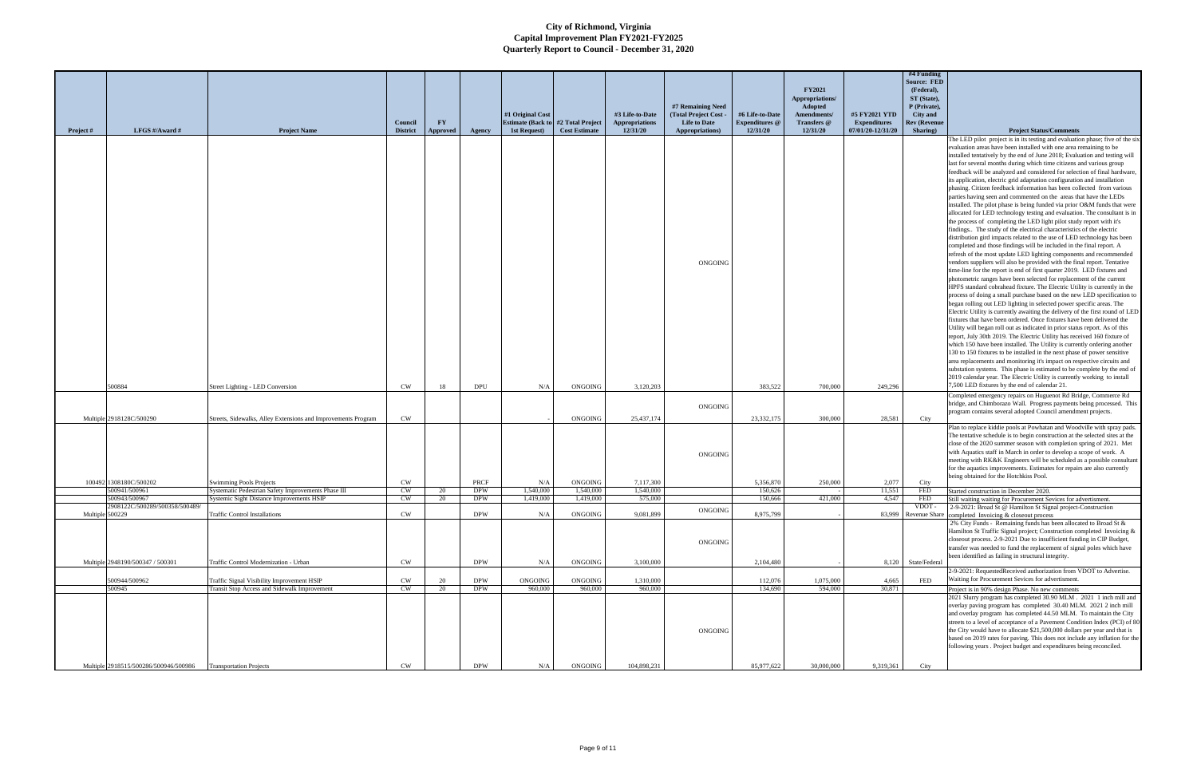|                 |                                                 |                                                               |                 |           |            |                           |                      |                       |                     |                       |                            |                     | #4 Funding                  |                                                                                                                                                         |
|-----------------|-------------------------------------------------|---------------------------------------------------------------|-----------------|-----------|------------|---------------------------|----------------------|-----------------------|---------------------|-----------------------|----------------------------|---------------------|-----------------------------|---------------------------------------------------------------------------------------------------------------------------------------------------------|
|                 |                                                 |                                                               |                 |           |            |                           |                      |                       |                     |                       |                            |                     | <b>Source: FED</b>          |                                                                                                                                                         |
|                 |                                                 |                                                               |                 |           |            |                           |                      |                       |                     |                       | <b>FY2021</b>              |                     | (Federal),                  |                                                                                                                                                         |
|                 |                                                 |                                                               |                 |           |            |                           |                      |                       | #7 Remaining Need   |                       | Appropriations/<br>Adopted |                     | ST (State),<br>P (Private), |                                                                                                                                                         |
|                 |                                                 |                                                               |                 |           |            | #1 Original Cost          |                      | #3 Life-to-Date       | (Total Project Cost | #6 Life-to-Date       | Amendments/                | #5 FY2021 YTD       | City and                    |                                                                                                                                                         |
|                 |                                                 |                                                               | Council         | <b>FY</b> |            | <b>Estimate (Back to)</b> | #2 Total Project     | <b>Appropriations</b> | <b>Life to Date</b> | <b>Expenditures</b> @ | Transfers @                | <b>Expenditures</b> | <b>Rev (Revenue</b>         |                                                                                                                                                         |
| Project #       | LFGS #/Award #                                  | <b>Project Name</b>                                           | <b>District</b> | Approved  | Agency     | 1st Request)              | <b>Cost Estimate</b> | 12/31/20              | Appropriations)     | 12/31/20              | 12/31/20                   | 07/01/20-12/31/20   | Sharing)                    | <b>Project Status/Comments</b>                                                                                                                          |
|                 |                                                 |                                                               |                 |           |            |                           |                      |                       |                     |                       |                            |                     |                             | The LED pilot project is in its testing and evaluation phase; five of the six<br>evaluation areas have been installed with one area remaining to be     |
|                 |                                                 |                                                               |                 |           |            |                           |                      |                       |                     |                       |                            |                     |                             | installed tentatively by the end of June 2018; Evaluation and testing will                                                                              |
|                 |                                                 |                                                               |                 |           |            |                           |                      |                       |                     |                       |                            |                     |                             | last for several months during which time citizens and various group                                                                                    |
|                 |                                                 |                                                               |                 |           |            |                           |                      |                       |                     |                       |                            |                     |                             | feedback will be analyzed and considered for selection of final hardware,                                                                               |
|                 |                                                 |                                                               |                 |           |            |                           |                      |                       |                     |                       |                            |                     |                             | its application, electric grid adaptation configuration and installation                                                                                |
|                 |                                                 |                                                               |                 |           |            |                           |                      |                       |                     |                       |                            |                     |                             | phasing. Citizen feedback information has been collected from various<br>parties having seen and commented on the areas that have the LEDs              |
|                 |                                                 |                                                               |                 |           |            |                           |                      |                       |                     |                       |                            |                     |                             | installed. The pilot phase is being funded via prior O&M funds that were                                                                                |
|                 |                                                 |                                                               |                 |           |            |                           |                      |                       |                     |                       |                            |                     |                             | allocated for LED technology testing and evaluation. The consultant is in                                                                               |
|                 |                                                 |                                                               |                 |           |            |                           |                      |                       |                     |                       |                            |                     |                             | the process of completing the LED light pilot study report with it's                                                                                    |
|                 |                                                 |                                                               |                 |           |            |                           |                      |                       |                     |                       |                            |                     |                             | findings The study of the electrical characteristics of the electric                                                                                    |
|                 |                                                 |                                                               |                 |           |            |                           |                      |                       |                     |                       |                            |                     |                             | distribution gird impacts related to the use of LED technology has been<br>completed and those findings will be included in the final report. A         |
|                 |                                                 |                                                               |                 |           |            |                           |                      |                       |                     |                       |                            |                     |                             | refresh of the most update LED lighting components and recommended                                                                                      |
|                 |                                                 |                                                               |                 |           |            |                           |                      |                       | ONGOING             |                       |                            |                     |                             | vendors suppliers will also be provided with the final report. Tentative                                                                                |
|                 |                                                 |                                                               |                 |           |            |                           |                      |                       |                     |                       |                            |                     |                             | time-line for the report is end of first quarter 2019. LED fixtures and                                                                                 |
|                 |                                                 |                                                               |                 |           |            |                           |                      |                       |                     |                       |                            |                     |                             | photometric ranges have been selected for replacement of the current<br>HPFS standard cobrahead fixture. The Electric Utility is currently in the       |
|                 |                                                 |                                                               |                 |           |            |                           |                      |                       |                     |                       |                            |                     |                             | process of doing a small purchase based on the new LED specification to                                                                                 |
|                 |                                                 |                                                               |                 |           |            |                           |                      |                       |                     |                       |                            |                     |                             | began rolling out LED lighting in selected power specific areas. The                                                                                    |
|                 |                                                 |                                                               |                 |           |            |                           |                      |                       |                     |                       |                            |                     |                             | Electric Utility is currently awaiting the delivery of the first round of LED                                                                           |
|                 |                                                 |                                                               |                 |           |            |                           |                      |                       |                     |                       |                            |                     |                             | fixtures that have been ordered. Once fixtures have been delivered the                                                                                  |
|                 |                                                 |                                                               |                 |           |            |                           |                      |                       |                     |                       |                            |                     |                             | Utility will began roll out as indicated in prior status report. As of this<br>report, July 30th 2019. The Electric Utility has received 160 fixture of |
|                 |                                                 |                                                               |                 |           |            |                           |                      |                       |                     |                       |                            |                     |                             | which 150 have been installed. The Utility is currently ordering another                                                                                |
|                 |                                                 |                                                               |                 |           |            |                           |                      |                       |                     |                       |                            |                     |                             | 130 to 150 fixtures to be installed in the next phase of power sensitive                                                                                |
|                 |                                                 |                                                               |                 |           |            |                           |                      |                       |                     |                       |                            |                     |                             | area replacements and monitoring it's impact on respective circuits and                                                                                 |
|                 |                                                 |                                                               |                 |           |            |                           |                      |                       |                     |                       |                            |                     |                             | substation systems. This phase is estimated to be complete by the end of                                                                                |
|                 | 500884                                          | Street Lighting - LED Conversion                              | <b>CW</b>       | 18        | <b>DPU</b> | N/A                       | ONGOING              | 3,120,203             |                     | 383.522               | 700,000                    | 249,296             |                             | 2019 calendar year. The Electric Utility is currently working to install<br>7,500 LED fixtures by the end of calendar 21.                               |
|                 |                                                 |                                                               |                 |           |            |                           |                      |                       |                     |                       |                            |                     |                             | Completed emergency repairs on Huguenot Rd Bridge, Commerce Rd                                                                                          |
|                 |                                                 |                                                               |                 |           |            |                           |                      |                       | ONGOING             |                       |                            |                     |                             | bridge, and Chimborazo Wall. Progress payments being processed. This                                                                                    |
|                 |                                                 |                                                               |                 |           |            |                           |                      |                       |                     |                       |                            |                     |                             | program contains several adopted Council amendment projects.                                                                                            |
|                 | Multiple 2918128C/500290                        | Streets, Sidewalks, Alley Extensions and Improvements Program | <b>CW</b>       |           |            |                           | <b>ONGOING</b>       | 25,437,174            |                     | 23,332,175            | 300,000                    | 28.581              | City                        |                                                                                                                                                         |
|                 |                                                 |                                                               |                 |           |            |                           |                      |                       |                     |                       |                            |                     |                             | Plan to replace kiddie pools at Powhatan and Woodville with spray pads.<br>The tentative schedule is to begin construction at the selected sites at the |
|                 |                                                 |                                                               |                 |           |            |                           |                      |                       |                     |                       |                            |                     |                             | close of the 2020 summer season with completion spring of 2021. Met                                                                                     |
|                 |                                                 |                                                               |                 |           |            |                           |                      |                       | <b>ONGOING</b>      |                       |                            |                     |                             | with Aquatics staff in March in order to develop a scope of work. A                                                                                     |
|                 |                                                 |                                                               |                 |           |            |                           |                      |                       |                     |                       |                            |                     |                             | meeting with RK&K Engineers will be scheduled as a possible consultant                                                                                  |
|                 |                                                 |                                                               |                 |           |            |                           |                      |                       |                     |                       |                            |                     |                             | for the aquatics improvements. Estimates for repairs are also currently<br>being obtained for the Hotchkiss Pool.                                       |
|                 | 100492 1308180C/500202                          | <b>Swimming Pools Projects</b>                                | CW              |           | PRCF       | N/A                       | ONGOING              | 7,117,300             |                     | 5,356,870             | 250,000                    | 2,077               | City                        |                                                                                                                                                         |
|                 | 500941/500961                                   | Systematic Pedestrian Safety Improvements Phase III           | CW              | 20        | <b>DPW</b> | 1,540,000                 | 1,540,000            | 1,540,000             |                     | 150,626               |                            | 11.551              | <b>FED</b>                  | Started construction in December 2020.                                                                                                                  |
|                 | 500943/500967<br>2908122C/500289/500358/500489/ | Systemic Sight Distance Improvements HSIP                     | CW              | 20        | <b>DPW</b> | 1,419,000                 | 1,419,000            | 575,000               |                     | 150,666               | 421,000                    | 4,547               | <b>FED</b><br>VDOT          | Still waiting waiting for Procurement Sevices for advertisment.<br>2-9-2021: Broad St @ Hamilton St Signal project-Construction                         |
| Multiple 500229 |                                                 | <b>Traffic Control Installations</b>                          | CW              |           | <b>DPW</b> | N/A                       | ONGOING              | 9,081,899             | ONGOING             | 8,975,799             |                            |                     |                             | 83,999 Revenue Share completed Invoicing & closeout process                                                                                             |
|                 |                                                 |                                                               |                 |           |            |                           |                      |                       |                     |                       |                            |                     |                             | 2% City Funds - Remaining funds has been allocated to Broad St &                                                                                        |
|                 |                                                 |                                                               |                 |           |            |                           |                      |                       |                     |                       |                            |                     |                             | Hamilton St Traffic Signal project; Construction completed Invoicing &                                                                                  |
|                 |                                                 |                                                               |                 |           |            |                           |                      |                       | ONGOING             |                       |                            |                     |                             | closeout process. 2-9-2021 Due to insufficient funding in CIP Budget,<br>transfer was needed to fund the replacement of signal poles which have         |
|                 |                                                 |                                                               |                 |           |            |                           |                      |                       |                     |                       |                            |                     |                             | been identified as failing in structural integrity.                                                                                                     |
|                 |                                                 |                                                               |                 |           |            |                           |                      |                       |                     |                       |                            |                     |                             |                                                                                                                                                         |
|                 | Multiple 2948190/500347 / 500301                | Traffic Control Modernization - Urban                         | CW              |           | <b>DPW</b> | N/A                       | <b>ONGOING</b>       | 3,100,000             |                     | 2,104,480             |                            |                     | 8,120 State/Federal         |                                                                                                                                                         |
|                 |                                                 |                                                               |                 |           |            |                           |                      |                       |                     |                       |                            |                     |                             | 2-9-2021: RequestedReceived authorization from VDOT to Advertise.                                                                                       |
|                 | 500944/500962                                   | Traffic Signal Visibility Improvement HSIP                    | CW              | -20       | <b>DPW</b> | ONGOING                   | ONGOING              | 1,310,000             |                     | 112,076               | 1,075,000                  | 4,665               | FED                         | Waiting for Procurement Sevices for advertisment.                                                                                                       |
|                 | 500945                                          | Transit Stop Access and Sidewalk Improvement                  | CW              | 20        | <b>DPW</b> | 960,000                   | 960,000              | 960,000               |                     | 134,690               | 594,000                    | 30,871              |                             | Project is in 90% design Phase. No new comments                                                                                                         |
|                 |                                                 |                                                               |                 |           |            |                           |                      |                       |                     |                       |                            |                     |                             | 2021 Slurry program has completed 30.90 MLM . 2021 1 inch mill and                                                                                      |
|                 |                                                 |                                                               |                 |           |            |                           |                      |                       |                     |                       |                            |                     |                             | overlay paving program has completed 30.40 MLM. 2021 2 inch mill<br>and overlay program has completed 44.50 MLM. To maintain the City                   |
|                 |                                                 |                                                               |                 |           |            |                           |                      |                       |                     |                       |                            |                     |                             | streets to a level of acceptance of a Pavement Condition Index (PCI) of 80                                                                              |
|                 |                                                 |                                                               |                 |           |            |                           |                      |                       | ONGOING             |                       |                            |                     |                             | the City would have to allocate \$21,500,000 dollars per year and that is                                                                               |
|                 |                                                 |                                                               |                 |           |            |                           |                      |                       |                     |                       |                            |                     |                             | based on 2019 rates for paving. This does not include any inflation for the                                                                             |
|                 |                                                 |                                                               |                 |           |            |                           |                      |                       |                     |                       |                            |                     |                             | following years . Project budget and expenditures being reconciled.                                                                                     |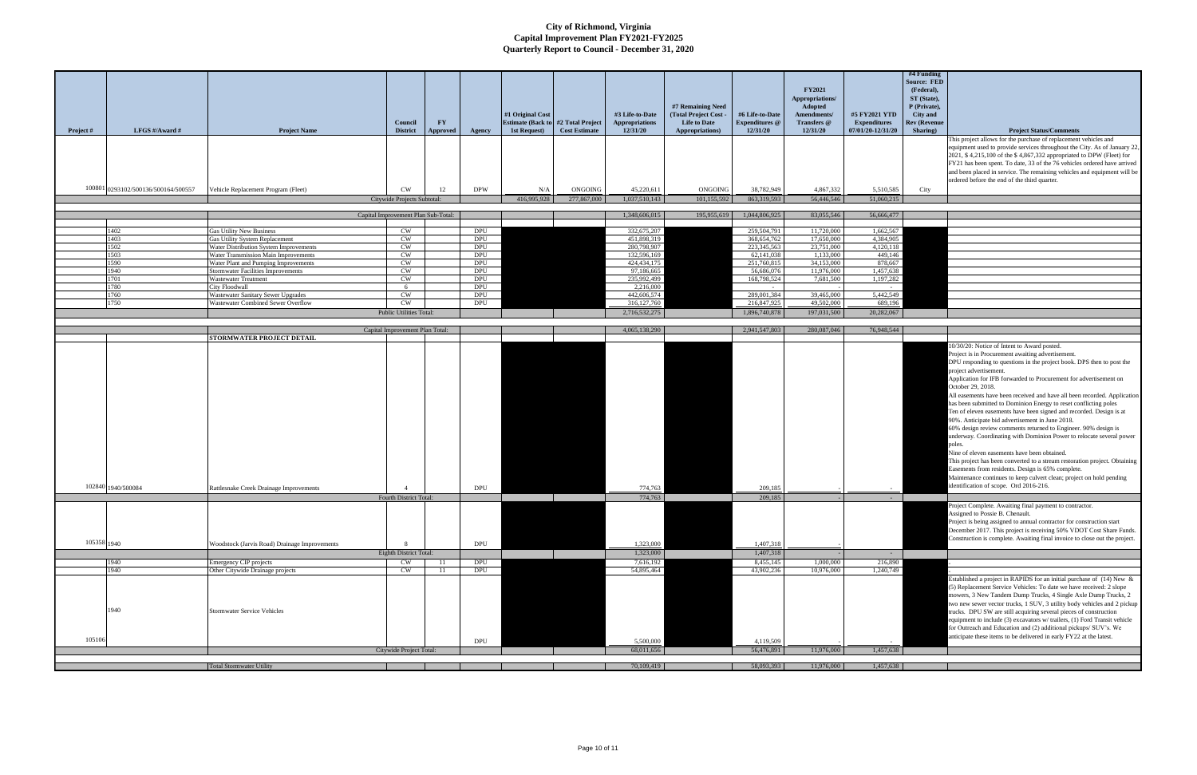| This project allows for the purchase of replacement vehicles and<br>equipment used to provide services throughout the City. As of January 22,<br>2021, \$4,215,100 of the \$4,867,332 appropriated to DPW (Fleet) for<br>FY21 has been spent. To date, 33 of the 76 vehicles ordered have arrived<br>and been placed in service. The remaining vehicles and equipment will be<br>ordered before the end of the third quarter.<br>100801 0293102/500136/500164/500557<br>Vehicle Replacement Program (Fleet)<br>CW<br><b>DPW</b><br>ONGOING<br>45,220,611<br><b>ONGOING</b><br>38,782,949<br>4,867,332<br>5,510,585<br>12<br>N/A<br>City<br>416,995,928<br>277,867,000<br>1,037,510,143<br>863,319,593<br>56,446,546<br>Citywide Projects Subtotal:<br>101,155,592<br>51,060,215<br>1,044,806,925<br>83,055,546<br>Capital Improvement Plan Sub-Total:<br>1,348,606,015<br>195,955,619<br>56,666,477<br>CW<br><b>DPU</b><br>332,675,207<br>259,504,791<br>11,720,000<br>1,662,567<br>1402<br><b>Gas Utility New Business</b><br>1403<br>Gas Utility System Replacement<br>451,898,319<br>368,654,762<br>17,650,000<br>4,384,905<br>CW<br>DPU<br>1502<br>CW<br>280,798,907<br>223,345,563<br>23,751,000<br>4,120,118<br>Water Distribution System Improvements<br>DPU<br>CW<br>449,146<br>1503<br>Water Transmission Main Improvements<br>DPU<br>132,596,169<br>62,141,038<br>1,133,000<br>1590<br>CW<br><b>DPU</b><br>424, 434, 175<br>251,760,815<br>34,153,000<br>878,667<br>Water Plant and Pumping Improvements<br>1940<br><b>Stormwater Facilities Improvements</b><br>CW<br>97,186,665<br>56,686,076<br>11,976,000<br>1,457,638<br>DPU<br>1701<br>235,992,499<br>168,798,524<br><b>Wastewater Treatment</b><br>CW<br>DPU<br>7,681,500<br>1,197,282<br><b>City Floodwall</b><br>2,216,000<br>1780<br>DPU<br>- 6<br>$\sim$<br>$\sim$ $-$<br>442,606,574<br>289,001,384<br>39,465,000<br>5,442,549<br>1760<br><b>Wastewater Sanitary Sewer Upgrades</b><br><b>CW</b><br>DPU<br>1750<br>CW<br>316, 127, 760<br>49,502,000<br>689,196<br>Wastewater Combined Sewer Overflow<br>DPU<br>216,847,925<br>Public Utilities Total:<br>2,716,532,275<br>1,896,740,878<br>197,031,500<br>20,282,067<br>Capital Improvement Plan Total:<br>4,065,138,290<br>2,941,547,803<br>280,087,046<br>76,948,544<br><b>STORMWATER PROJECT DETAIL</b><br>10/30/20: Notice of Intent to Award posted.<br>Project is in Procurement awaiting advertisement.<br>DPU responding to questions in the project book. DPS then to post the<br>project advertisement.<br>Application for IFB forwarded to Procurement for advertisement on<br>October 29, 2018.<br>All easements have been received and have all been recorded. Application<br>has been submitted to Dominion Energy to reset conflicting poles<br>Ten of eleven easements have been signed and recorded. Design is at<br>90%. Anticipate bid advertisement in June 2018.<br>60% design review comments returned to Engineer. 90% design is<br>underway. Coordinating with Dominion Power to relocate several power<br>poles.<br>Nine of eleven easements have been obtained.<br>This project has been converted to a stream restoration project. Obtaining<br>Easements from residents. Design is 65% complete.<br>Maintenance continues to keep culvert clean; project on hold pending<br>identification of scope. Ord 2016-216.<br>102840 1940/500084<br>Rattlesnake Creek Drainage Improvements<br>DPU<br>209,185<br>774,763<br>774,763<br>209,185<br>Fourth District Total:<br>$\sim$<br>roject Complete. Awaiting final payment to contractor.<br>Assigned to Possie B. Chenault.<br>Project is being assigned to annual contractor for construction start<br>December 2017. This project is receiving 50% VDOT Cost Share Funds.<br>Construction is complete. Awaiting final invoice to close out the project.<br>105358 1940<br>8<br>1,323,000<br>1,407,318<br>Woodstock (Jarvis Road) Drainage Improvements<br>DPU<br>Eighth District Total:<br>1,323,000<br>1,407,318<br>$\sim$ $-$<br>1940<br>Emergency CIP projects<br>DPU<br>7,616,192<br>8,455,145<br>1,000,000<br>216,890<br>CW<br>-11<br>10,976,000<br>1940<br>1,240,749<br>Other Citywide Drainage projects<br>CW<br>DPU<br>54,895,464<br>43,902,236<br>-11<br>Established a project in RAPIDS for an initial purchase of (14) New &<br>(5) Replacement Service Vehicles: To date we have received: 2 slope<br>mowers, 3 New Tandem Dump Trucks, 4 Single Axle Dump Trucks, 2<br>two new sewer vector trucks, 1 SUV, 3 utility body vehicles and 2 pickup<br>1940<br><b>Stormwater Service Vehicles</b><br>trucks. DPU SW are still acquiring several pieces of construction<br>equipment to include (3) excavators w/ trailers, (1) Ford Transit vehicle<br>for Outreach and Education and (2) additional pickups/ SUV's. We<br>anticipate these items to be delivered in early FY22 at the latest.<br>105106<br>5,500,000<br>4,119,509<br>DPU<br>68,011,656<br>56,476,891<br>11,976,000<br>1,457,638<br>Citywide Project Total:<br>70,109,419<br>58,093,393<br>11,976,000<br>1,457,638<br><b>Total Stormwater Utility</b> | Project # | LFGS #/Award # | <b>Project Name</b> | Council<br><b>District</b> | $\mathbf{F}\mathbf{Y}$<br>Approved | Agency | #1 Original Cost<br><b>Estimate (Back to #2 Total Project</b><br>1st Request) | <b>Cost Estimate</b> | #3 Life-to-Date<br><b>Appropriations</b><br>12/31/20 | #7 Remaining Need<br>(Total Project Cost -<br><b>Life to Date</b><br>Appropriations) | #6 Life-to-Date<br><b>Expenditures</b> @<br>12/31/20 | <b>FY2021</b><br>Appropriations/<br>Adopted<br>Amendments/<br>Transfers @<br>12/31/20 | #5 FY2021 YTD<br><b>Expenditures</b><br>07/01/20-12/31/20 | #4 Funding<br><b>Source: FED</b><br>(Federal),<br>ST (State),<br>P (Private),<br>City and<br><b>Rev (Revenue</b><br>Sharing) | <b>Project Status/Comments</b> |
|---------------------------------------------------------------------------------------------------------------------------------------------------------------------------------------------------------------------------------------------------------------------------------------------------------------------------------------------------------------------------------------------------------------------------------------------------------------------------------------------------------------------------------------------------------------------------------------------------------------------------------------------------------------------------------------------------------------------------------------------------------------------------------------------------------------------------------------------------------------------------------------------------------------------------------------------------------------------------------------------------------------------------------------------------------------------------------------------------------------------------------------------------------------------------------------------------------------------------------------------------------------------------------------------------------------------------------------------------------------------------------------------------------------------------------------------------------------------------------------------------------------------------------------------------------------------------------------------------------------------------------------------------------------------------------------------------------------------------------------------------------------------------------------------------------------------------------------------------------------------------------------------------------------------------------------------------------------------------------------------------------------------------------------------------------------------------------------------------------------------------------------------------------------------------------------------------------------------------------------------------------------------------------------------------------------------------------------------------------------------------------------------------------------------------------------------------------------------------------------------------------------------------------------------------------------------------------------------------------------------------------------------------------------------------------------------------------------------------------------------------------------------------------------------------------------------------------------------------------------------------------------------------------------------------------------------------------------------------------------------------------------------------------------------------------------------------------------------------------------------------------------------------------------------------------------------------------------------------------------------------------------------------------------------------------------------------------------------------------------------------------------------------------------------------------------------------------------------------------------------------------------------------------------------------------------------------------------------------------------------------------------------------------------------------------------------------------------------------------------------------------------------------------------------------------------------------------------------------------------------------------------------------------------------------------------------------------------------------------------------------------------------------------------------------------------------------------------------------------------------------------------------------------------------------------------------------------------------------------------------------------------------------------------------------------------------------------------------------------------------------------------------------------------------------------------------------------------------------------------------------------------------------------------------------------------------------------------------------------------------------------------------------------------------------------------------------------------------------------------------------------------------------------------------------------------------------------------------------------------------------------------------------------------------------------------------------------------------------------------------------------------------------------------------------------------------------------------------------------------------------------|-----------|----------------|---------------------|----------------------------|------------------------------------|--------|-------------------------------------------------------------------------------|----------------------|------------------------------------------------------|--------------------------------------------------------------------------------------|------------------------------------------------------|---------------------------------------------------------------------------------------|-----------------------------------------------------------|------------------------------------------------------------------------------------------------------------------------------|--------------------------------|
|                                                                                                                                                                                                                                                                                                                                                                                                                                                                                                                                                                                                                                                                                                                                                                                                                                                                                                                                                                                                                                                                                                                                                                                                                                                                                                                                                                                                                                                                                                                                                                                                                                                                                                                                                                                                                                                                                                                                                                                                                                                                                                                                                                                                                                                                                                                                                                                                                                                                                                                                                                                                                                                                                                                                                                                                                                                                                                                                                                                                                                                                                                                                                                                                                                                                                                                                                                                                                                                                                                                                                                                                                                                                                                                                                                                                                                                                                                                                                                                                                                                                                                                                                                                                                                                                                                                                                                                                                                                                                                                                                                                                                                                                                                                                                                                                                                                                                                                                                                                                                                                                                                                                 |           |                |                     |                            |                                    |        |                                                                               |                      |                                                      |                                                                                      |                                                      |                                                                                       |                                                           |                                                                                                                              |                                |
|                                                                                                                                                                                                                                                                                                                                                                                                                                                                                                                                                                                                                                                                                                                                                                                                                                                                                                                                                                                                                                                                                                                                                                                                                                                                                                                                                                                                                                                                                                                                                                                                                                                                                                                                                                                                                                                                                                                                                                                                                                                                                                                                                                                                                                                                                                                                                                                                                                                                                                                                                                                                                                                                                                                                                                                                                                                                                                                                                                                                                                                                                                                                                                                                                                                                                                                                                                                                                                                                                                                                                                                                                                                                                                                                                                                                                                                                                                                                                                                                                                                                                                                                                                                                                                                                                                                                                                                                                                                                                                                                                                                                                                                                                                                                                                                                                                                                                                                                                                                                                                                                                                                                 |           |                |                     |                            |                                    |        |                                                                               |                      |                                                      |                                                                                      |                                                      |                                                                                       |                                                           |                                                                                                                              |                                |
|                                                                                                                                                                                                                                                                                                                                                                                                                                                                                                                                                                                                                                                                                                                                                                                                                                                                                                                                                                                                                                                                                                                                                                                                                                                                                                                                                                                                                                                                                                                                                                                                                                                                                                                                                                                                                                                                                                                                                                                                                                                                                                                                                                                                                                                                                                                                                                                                                                                                                                                                                                                                                                                                                                                                                                                                                                                                                                                                                                                                                                                                                                                                                                                                                                                                                                                                                                                                                                                                                                                                                                                                                                                                                                                                                                                                                                                                                                                                                                                                                                                                                                                                                                                                                                                                                                                                                                                                                                                                                                                                                                                                                                                                                                                                                                                                                                                                                                                                                                                                                                                                                                                                 |           |                |                     |                            |                                    |        |                                                                               |                      |                                                      |                                                                                      |                                                      |                                                                                       |                                                           |                                                                                                                              |                                |
|                                                                                                                                                                                                                                                                                                                                                                                                                                                                                                                                                                                                                                                                                                                                                                                                                                                                                                                                                                                                                                                                                                                                                                                                                                                                                                                                                                                                                                                                                                                                                                                                                                                                                                                                                                                                                                                                                                                                                                                                                                                                                                                                                                                                                                                                                                                                                                                                                                                                                                                                                                                                                                                                                                                                                                                                                                                                                                                                                                                                                                                                                                                                                                                                                                                                                                                                                                                                                                                                                                                                                                                                                                                                                                                                                                                                                                                                                                                                                                                                                                                                                                                                                                                                                                                                                                                                                                                                                                                                                                                                                                                                                                                                                                                                                                                                                                                                                                                                                                                                                                                                                                                                 |           |                |                     |                            |                                    |        |                                                                               |                      |                                                      |                                                                                      |                                                      |                                                                                       |                                                           |                                                                                                                              |                                |
|                                                                                                                                                                                                                                                                                                                                                                                                                                                                                                                                                                                                                                                                                                                                                                                                                                                                                                                                                                                                                                                                                                                                                                                                                                                                                                                                                                                                                                                                                                                                                                                                                                                                                                                                                                                                                                                                                                                                                                                                                                                                                                                                                                                                                                                                                                                                                                                                                                                                                                                                                                                                                                                                                                                                                                                                                                                                                                                                                                                                                                                                                                                                                                                                                                                                                                                                                                                                                                                                                                                                                                                                                                                                                                                                                                                                                                                                                                                                                                                                                                                                                                                                                                                                                                                                                                                                                                                                                                                                                                                                                                                                                                                                                                                                                                                                                                                                                                                                                                                                                                                                                                                                 |           |                |                     |                            |                                    |        |                                                                               |                      |                                                      |                                                                                      |                                                      |                                                                                       |                                                           |                                                                                                                              |                                |
|                                                                                                                                                                                                                                                                                                                                                                                                                                                                                                                                                                                                                                                                                                                                                                                                                                                                                                                                                                                                                                                                                                                                                                                                                                                                                                                                                                                                                                                                                                                                                                                                                                                                                                                                                                                                                                                                                                                                                                                                                                                                                                                                                                                                                                                                                                                                                                                                                                                                                                                                                                                                                                                                                                                                                                                                                                                                                                                                                                                                                                                                                                                                                                                                                                                                                                                                                                                                                                                                                                                                                                                                                                                                                                                                                                                                                                                                                                                                                                                                                                                                                                                                                                                                                                                                                                                                                                                                                                                                                                                                                                                                                                                                                                                                                                                                                                                                                                                                                                                                                                                                                                                                 |           |                |                     |                            |                                    |        |                                                                               |                      |                                                      |                                                                                      |                                                      |                                                                                       |                                                           |                                                                                                                              |                                |
|                                                                                                                                                                                                                                                                                                                                                                                                                                                                                                                                                                                                                                                                                                                                                                                                                                                                                                                                                                                                                                                                                                                                                                                                                                                                                                                                                                                                                                                                                                                                                                                                                                                                                                                                                                                                                                                                                                                                                                                                                                                                                                                                                                                                                                                                                                                                                                                                                                                                                                                                                                                                                                                                                                                                                                                                                                                                                                                                                                                                                                                                                                                                                                                                                                                                                                                                                                                                                                                                                                                                                                                                                                                                                                                                                                                                                                                                                                                                                                                                                                                                                                                                                                                                                                                                                                                                                                                                                                                                                                                                                                                                                                                                                                                                                                                                                                                                                                                                                                                                                                                                                                                                 |           |                |                     |                            |                                    |        |                                                                               |                      |                                                      |                                                                                      |                                                      |                                                                                       |                                                           |                                                                                                                              |                                |
|                                                                                                                                                                                                                                                                                                                                                                                                                                                                                                                                                                                                                                                                                                                                                                                                                                                                                                                                                                                                                                                                                                                                                                                                                                                                                                                                                                                                                                                                                                                                                                                                                                                                                                                                                                                                                                                                                                                                                                                                                                                                                                                                                                                                                                                                                                                                                                                                                                                                                                                                                                                                                                                                                                                                                                                                                                                                                                                                                                                                                                                                                                                                                                                                                                                                                                                                                                                                                                                                                                                                                                                                                                                                                                                                                                                                                                                                                                                                                                                                                                                                                                                                                                                                                                                                                                                                                                                                                                                                                                                                                                                                                                                                                                                                                                                                                                                                                                                                                                                                                                                                                                                                 |           |                |                     |                            |                                    |        |                                                                               |                      |                                                      |                                                                                      |                                                      |                                                                                       |                                                           |                                                                                                                              |                                |
|                                                                                                                                                                                                                                                                                                                                                                                                                                                                                                                                                                                                                                                                                                                                                                                                                                                                                                                                                                                                                                                                                                                                                                                                                                                                                                                                                                                                                                                                                                                                                                                                                                                                                                                                                                                                                                                                                                                                                                                                                                                                                                                                                                                                                                                                                                                                                                                                                                                                                                                                                                                                                                                                                                                                                                                                                                                                                                                                                                                                                                                                                                                                                                                                                                                                                                                                                                                                                                                                                                                                                                                                                                                                                                                                                                                                                                                                                                                                                                                                                                                                                                                                                                                                                                                                                                                                                                                                                                                                                                                                                                                                                                                                                                                                                                                                                                                                                                                                                                                                                                                                                                                                 |           |                |                     |                            |                                    |        |                                                                               |                      |                                                      |                                                                                      |                                                      |                                                                                       |                                                           |                                                                                                                              |                                |
|                                                                                                                                                                                                                                                                                                                                                                                                                                                                                                                                                                                                                                                                                                                                                                                                                                                                                                                                                                                                                                                                                                                                                                                                                                                                                                                                                                                                                                                                                                                                                                                                                                                                                                                                                                                                                                                                                                                                                                                                                                                                                                                                                                                                                                                                                                                                                                                                                                                                                                                                                                                                                                                                                                                                                                                                                                                                                                                                                                                                                                                                                                                                                                                                                                                                                                                                                                                                                                                                                                                                                                                                                                                                                                                                                                                                                                                                                                                                                                                                                                                                                                                                                                                                                                                                                                                                                                                                                                                                                                                                                                                                                                                                                                                                                                                                                                                                                                                                                                                                                                                                                                                                 |           |                |                     |                            |                                    |        |                                                                               |                      |                                                      |                                                                                      |                                                      |                                                                                       |                                                           |                                                                                                                              |                                |
|                                                                                                                                                                                                                                                                                                                                                                                                                                                                                                                                                                                                                                                                                                                                                                                                                                                                                                                                                                                                                                                                                                                                                                                                                                                                                                                                                                                                                                                                                                                                                                                                                                                                                                                                                                                                                                                                                                                                                                                                                                                                                                                                                                                                                                                                                                                                                                                                                                                                                                                                                                                                                                                                                                                                                                                                                                                                                                                                                                                                                                                                                                                                                                                                                                                                                                                                                                                                                                                                                                                                                                                                                                                                                                                                                                                                                                                                                                                                                                                                                                                                                                                                                                                                                                                                                                                                                                                                                                                                                                                                                                                                                                                                                                                                                                                                                                                                                                                                                                                                                                                                                                                                 |           |                |                     |                            |                                    |        |                                                                               |                      |                                                      |                                                                                      |                                                      |                                                                                       |                                                           |                                                                                                                              |                                |
|                                                                                                                                                                                                                                                                                                                                                                                                                                                                                                                                                                                                                                                                                                                                                                                                                                                                                                                                                                                                                                                                                                                                                                                                                                                                                                                                                                                                                                                                                                                                                                                                                                                                                                                                                                                                                                                                                                                                                                                                                                                                                                                                                                                                                                                                                                                                                                                                                                                                                                                                                                                                                                                                                                                                                                                                                                                                                                                                                                                                                                                                                                                                                                                                                                                                                                                                                                                                                                                                                                                                                                                                                                                                                                                                                                                                                                                                                                                                                                                                                                                                                                                                                                                                                                                                                                                                                                                                                                                                                                                                                                                                                                                                                                                                                                                                                                                                                                                                                                                                                                                                                                                                 |           |                |                     |                            |                                    |        |                                                                               |                      |                                                      |                                                                                      |                                                      |                                                                                       |                                                           |                                                                                                                              |                                |
|                                                                                                                                                                                                                                                                                                                                                                                                                                                                                                                                                                                                                                                                                                                                                                                                                                                                                                                                                                                                                                                                                                                                                                                                                                                                                                                                                                                                                                                                                                                                                                                                                                                                                                                                                                                                                                                                                                                                                                                                                                                                                                                                                                                                                                                                                                                                                                                                                                                                                                                                                                                                                                                                                                                                                                                                                                                                                                                                                                                                                                                                                                                                                                                                                                                                                                                                                                                                                                                                                                                                                                                                                                                                                                                                                                                                                                                                                                                                                                                                                                                                                                                                                                                                                                                                                                                                                                                                                                                                                                                                                                                                                                                                                                                                                                                                                                                                                                                                                                                                                                                                                                                                 |           |                |                     |                            |                                    |        |                                                                               |                      |                                                      |                                                                                      |                                                      |                                                                                       |                                                           |                                                                                                                              |                                |
|                                                                                                                                                                                                                                                                                                                                                                                                                                                                                                                                                                                                                                                                                                                                                                                                                                                                                                                                                                                                                                                                                                                                                                                                                                                                                                                                                                                                                                                                                                                                                                                                                                                                                                                                                                                                                                                                                                                                                                                                                                                                                                                                                                                                                                                                                                                                                                                                                                                                                                                                                                                                                                                                                                                                                                                                                                                                                                                                                                                                                                                                                                                                                                                                                                                                                                                                                                                                                                                                                                                                                                                                                                                                                                                                                                                                                                                                                                                                                                                                                                                                                                                                                                                                                                                                                                                                                                                                                                                                                                                                                                                                                                                                                                                                                                                                                                                                                                                                                                                                                                                                                                                                 |           |                |                     |                            |                                    |        |                                                                               |                      |                                                      |                                                                                      |                                                      |                                                                                       |                                                           |                                                                                                                              |                                |
|                                                                                                                                                                                                                                                                                                                                                                                                                                                                                                                                                                                                                                                                                                                                                                                                                                                                                                                                                                                                                                                                                                                                                                                                                                                                                                                                                                                                                                                                                                                                                                                                                                                                                                                                                                                                                                                                                                                                                                                                                                                                                                                                                                                                                                                                                                                                                                                                                                                                                                                                                                                                                                                                                                                                                                                                                                                                                                                                                                                                                                                                                                                                                                                                                                                                                                                                                                                                                                                                                                                                                                                                                                                                                                                                                                                                                                                                                                                                                                                                                                                                                                                                                                                                                                                                                                                                                                                                                                                                                                                                                                                                                                                                                                                                                                                                                                                                                                                                                                                                                                                                                                                                 |           |                |                     |                            |                                    |        |                                                                               |                      |                                                      |                                                                                      |                                                      |                                                                                       |                                                           |                                                                                                                              |                                |
|                                                                                                                                                                                                                                                                                                                                                                                                                                                                                                                                                                                                                                                                                                                                                                                                                                                                                                                                                                                                                                                                                                                                                                                                                                                                                                                                                                                                                                                                                                                                                                                                                                                                                                                                                                                                                                                                                                                                                                                                                                                                                                                                                                                                                                                                                                                                                                                                                                                                                                                                                                                                                                                                                                                                                                                                                                                                                                                                                                                                                                                                                                                                                                                                                                                                                                                                                                                                                                                                                                                                                                                                                                                                                                                                                                                                                                                                                                                                                                                                                                                                                                                                                                                                                                                                                                                                                                                                                                                                                                                                                                                                                                                                                                                                                                                                                                                                                                                                                                                                                                                                                                                                 |           |                |                     |                            |                                    |        |                                                                               |                      |                                                      |                                                                                      |                                                      |                                                                                       |                                                           |                                                                                                                              |                                |
|                                                                                                                                                                                                                                                                                                                                                                                                                                                                                                                                                                                                                                                                                                                                                                                                                                                                                                                                                                                                                                                                                                                                                                                                                                                                                                                                                                                                                                                                                                                                                                                                                                                                                                                                                                                                                                                                                                                                                                                                                                                                                                                                                                                                                                                                                                                                                                                                                                                                                                                                                                                                                                                                                                                                                                                                                                                                                                                                                                                                                                                                                                                                                                                                                                                                                                                                                                                                                                                                                                                                                                                                                                                                                                                                                                                                                                                                                                                                                                                                                                                                                                                                                                                                                                                                                                                                                                                                                                                                                                                                                                                                                                                                                                                                                                                                                                                                                                                                                                                                                                                                                                                                 |           |                |                     |                            |                                    |        |                                                                               |                      |                                                      |                                                                                      |                                                      |                                                                                       |                                                           |                                                                                                                              |                                |
|                                                                                                                                                                                                                                                                                                                                                                                                                                                                                                                                                                                                                                                                                                                                                                                                                                                                                                                                                                                                                                                                                                                                                                                                                                                                                                                                                                                                                                                                                                                                                                                                                                                                                                                                                                                                                                                                                                                                                                                                                                                                                                                                                                                                                                                                                                                                                                                                                                                                                                                                                                                                                                                                                                                                                                                                                                                                                                                                                                                                                                                                                                                                                                                                                                                                                                                                                                                                                                                                                                                                                                                                                                                                                                                                                                                                                                                                                                                                                                                                                                                                                                                                                                                                                                                                                                                                                                                                                                                                                                                                                                                                                                                                                                                                                                                                                                                                                                                                                                                                                                                                                                                                 |           |                |                     |                            |                                    |        |                                                                               |                      |                                                      |                                                                                      |                                                      |                                                                                       |                                                           |                                                                                                                              |                                |
|                                                                                                                                                                                                                                                                                                                                                                                                                                                                                                                                                                                                                                                                                                                                                                                                                                                                                                                                                                                                                                                                                                                                                                                                                                                                                                                                                                                                                                                                                                                                                                                                                                                                                                                                                                                                                                                                                                                                                                                                                                                                                                                                                                                                                                                                                                                                                                                                                                                                                                                                                                                                                                                                                                                                                                                                                                                                                                                                                                                                                                                                                                                                                                                                                                                                                                                                                                                                                                                                                                                                                                                                                                                                                                                                                                                                                                                                                                                                                                                                                                                                                                                                                                                                                                                                                                                                                                                                                                                                                                                                                                                                                                                                                                                                                                                                                                                                                                                                                                                                                                                                                                                                 |           |                |                     |                            |                                    |        |                                                                               |                      |                                                      |                                                                                      |                                                      |                                                                                       |                                                           |                                                                                                                              |                                |
|                                                                                                                                                                                                                                                                                                                                                                                                                                                                                                                                                                                                                                                                                                                                                                                                                                                                                                                                                                                                                                                                                                                                                                                                                                                                                                                                                                                                                                                                                                                                                                                                                                                                                                                                                                                                                                                                                                                                                                                                                                                                                                                                                                                                                                                                                                                                                                                                                                                                                                                                                                                                                                                                                                                                                                                                                                                                                                                                                                                                                                                                                                                                                                                                                                                                                                                                                                                                                                                                                                                                                                                                                                                                                                                                                                                                                                                                                                                                                                                                                                                                                                                                                                                                                                                                                                                                                                                                                                                                                                                                                                                                                                                                                                                                                                                                                                                                                                                                                                                                                                                                                                                                 |           |                |                     |                            |                                    |        |                                                                               |                      |                                                      |                                                                                      |                                                      |                                                                                       |                                                           |                                                                                                                              |                                |
|                                                                                                                                                                                                                                                                                                                                                                                                                                                                                                                                                                                                                                                                                                                                                                                                                                                                                                                                                                                                                                                                                                                                                                                                                                                                                                                                                                                                                                                                                                                                                                                                                                                                                                                                                                                                                                                                                                                                                                                                                                                                                                                                                                                                                                                                                                                                                                                                                                                                                                                                                                                                                                                                                                                                                                                                                                                                                                                                                                                                                                                                                                                                                                                                                                                                                                                                                                                                                                                                                                                                                                                                                                                                                                                                                                                                                                                                                                                                                                                                                                                                                                                                                                                                                                                                                                                                                                                                                                                                                                                                                                                                                                                                                                                                                                                                                                                                                                                                                                                                                                                                                                                                 |           |                |                     |                            |                                    |        |                                                                               |                      |                                                      |                                                                                      |                                                      |                                                                                       |                                                           |                                                                                                                              |                                |
|                                                                                                                                                                                                                                                                                                                                                                                                                                                                                                                                                                                                                                                                                                                                                                                                                                                                                                                                                                                                                                                                                                                                                                                                                                                                                                                                                                                                                                                                                                                                                                                                                                                                                                                                                                                                                                                                                                                                                                                                                                                                                                                                                                                                                                                                                                                                                                                                                                                                                                                                                                                                                                                                                                                                                                                                                                                                                                                                                                                                                                                                                                                                                                                                                                                                                                                                                                                                                                                                                                                                                                                                                                                                                                                                                                                                                                                                                                                                                                                                                                                                                                                                                                                                                                                                                                                                                                                                                                                                                                                                                                                                                                                                                                                                                                                                                                                                                                                                                                                                                                                                                                                                 |           |                |                     |                            |                                    |        |                                                                               |                      |                                                      |                                                                                      |                                                      |                                                                                       |                                                           |                                                                                                                              |                                |